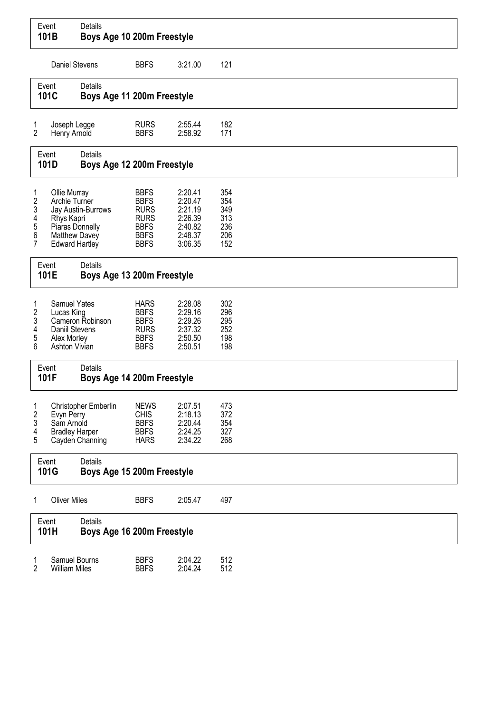|                                              | Event<br>101B                                                                                            | Details<br>Boys Age 10 200m Freestyle        |                                                                                                       |                                                                           |                                               |
|----------------------------------------------|----------------------------------------------------------------------------------------------------------|----------------------------------------------|-------------------------------------------------------------------------------------------------------|---------------------------------------------------------------------------|-----------------------------------------------|
|                                              | Daniel Stevens                                                                                           |                                              | <b>BBFS</b>                                                                                           | 3:21.00                                                                   | 121                                           |
|                                              | Event<br>101C                                                                                            | Details<br>Boys Age 11 200m Freestyle        |                                                                                                       |                                                                           |                                               |
| 1<br>2                                       | Joseph Legge<br>Henry Arnold                                                                             |                                              | <b>RURS</b><br><b>BBFS</b>                                                                            | 2:55.44<br>2:58.92                                                        | 182<br>171                                    |
|                                              | Event<br>101D                                                                                            | <b>Details</b><br>Boys Age 12 200m Freestyle |                                                                                                       |                                                                           |                                               |
| 1<br>2<br>3<br>4<br>5<br>6<br>$\overline{7}$ | Ollie Murray<br>Archie Turner<br>Rhys Kapri<br>Piaras Donnelly<br>Matthew Davey<br><b>Edward Hartley</b> | Jay Austin-Burrows                           | <b>BBFS</b><br><b>BBFS</b><br><b>RURS</b><br><b>RURS</b><br><b>BBFS</b><br><b>BBFS</b><br><b>BBFS</b> | 2:20.41<br>2:20.47<br>2:21.19<br>2:26.39<br>2:40.82<br>2:48.37<br>3:06.35 | 354<br>354<br>349<br>313<br>236<br>206<br>152 |
|                                              | Event<br>101E                                                                                            | Details<br>Boys Age 13 200m Freestyle        |                                                                                                       |                                                                           |                                               |
| 1<br>2<br>3<br>4<br>5<br>6                   | Samuel Yates<br>Lucas King<br>Daniil Stevens<br>Alex Morley<br>Ashton Vivian                             | Cameron Robinson                             | <b>HARS</b><br><b>BBFS</b><br><b>BBFS</b><br><b>RURS</b><br><b>BBFS</b><br><b>BBFS</b>                | 2:28.08<br>2:29.16<br>2:29.26<br>2:37.32<br>2:50.50<br>2:50.51            | 302<br>296<br>295<br>252<br>198<br>198        |
|                                              | Event<br>101F                                                                                            | Details<br>Boys Age 14 200m Freestyle        |                                                                                                       |                                                                           |                                               |
| 1<br>2<br>3<br>4<br>5                        | Evyn Perry<br>Sam Arnold<br><b>Bradley Harper</b>                                                        | Christopher Emberlin<br>Cayden Channing      | <b>NEWS</b><br><b>CHIS</b><br><b>BBFS</b><br><b>BBFS</b><br><b>HARS</b>                               | 2:07.51<br>2:18.13<br>2:20.44<br>2:24.25<br>2:34.22                       | 473<br>372<br>354<br>327<br>268               |
|                                              | Event<br>101G                                                                                            | Details<br>Boys Age 15 200m Freestyle        |                                                                                                       |                                                                           |                                               |
| 1                                            | <b>Oliver Miles</b>                                                                                      |                                              | <b>BBFS</b>                                                                                           | 2:05.47                                                                   | 497                                           |
|                                              | Event<br>101H                                                                                            | Details<br>Boys Age 16 200m Freestyle        |                                                                                                       |                                                                           |                                               |
| 1<br>$\overline{2}$                          | Samuel Bourns<br><b>William Miles</b>                                                                    |                                              | <b>BBFS</b><br><b>BBFS</b>                                                                            | 2:04.22<br>2:04.24                                                        | 512<br>512                                    |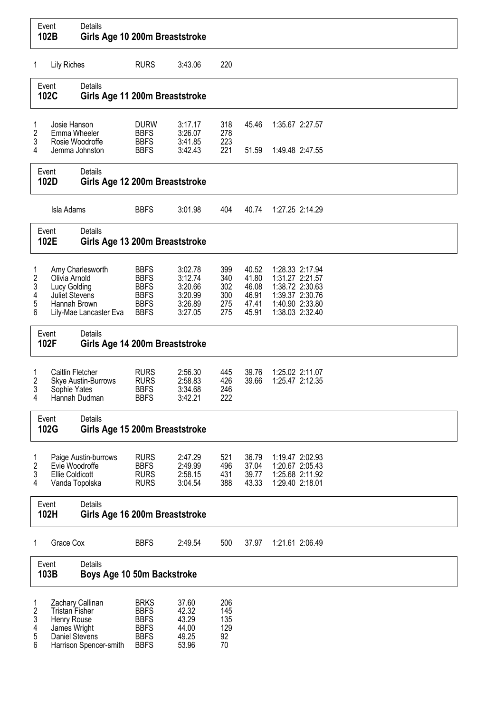|                            | Event<br>102B                                                          | Details<br>Girls Age 10 200m Breaststroke        |                                                                                        |                                                                |                                        |                                                    |                                                                                                                |  |
|----------------------------|------------------------------------------------------------------------|--------------------------------------------------|----------------------------------------------------------------------------------------|----------------------------------------------------------------|----------------------------------------|----------------------------------------------------|----------------------------------------------------------------------------------------------------------------|--|
| 1                          | <b>Lily Riches</b>                                                     |                                                  | <b>RURS</b>                                                                            | 3:43.06                                                        | 220                                    |                                                    |                                                                                                                |  |
|                            | Details<br>Event<br>102C<br>Girls Age 11 200m Breaststroke             |                                                  |                                                                                        |                                                                |                                        |                                                    |                                                                                                                |  |
| 1<br>2<br>3                | Josie Hanson                                                           | Emma Wheeler<br>Rosie Woodroffe                  | <b>DURW</b><br><b>BBFS</b><br><b>BBFS</b>                                              | 3:17.17<br>3:26.07<br>3:41.85                                  | 318<br>278<br>223                      | 45.46                                              | 1:35.67 2:27.57                                                                                                |  |
| 4                          | Event                                                                  | Jemma Johnston<br>Details                        | <b>BBFS</b>                                                                            | 3:42.43                                                        | 221                                    | 51.59                                              | 1:49.48 2:47.55                                                                                                |  |
|                            | 102D                                                                   | Girls Age 12 200m Breaststroke                   |                                                                                        |                                                                |                                        |                                                    |                                                                                                                |  |
|                            | Isla Adams                                                             |                                                  | <b>BBFS</b>                                                                            | 3:01.98                                                        | 404                                    | 40.74                                              | 1:27.25 2:14.29                                                                                                |  |
|                            | Event<br>102E                                                          | Details<br>Girls Age 13 200m Breaststroke        |                                                                                        |                                                                |                                        |                                                    |                                                                                                                |  |
| 1<br>2<br>3<br>4<br>5<br>6 | Olivia Arnold<br>Lucy Golding<br>Juliet Stevens<br>Hannah Brown        | Amy Charlesworth<br>Lily-Mae Lancaster Eva       | <b>BBFS</b><br><b>BBFS</b><br><b>BBFS</b><br><b>BBFS</b><br><b>BBFS</b><br><b>BBFS</b> | 3:02.78<br>3:12.74<br>3:20.66<br>3:20.99<br>3:26.89<br>3:27.05 | 399<br>340<br>302<br>300<br>275<br>275 | 40.52<br>41.80<br>46.08<br>46.91<br>47.41<br>45.91 | 1:28.33 2:17.94<br>1:31.27 2:21.57<br>1:38.72 2:30.63<br>1:39.37 2:30.76<br>1:40.90 2:33.80<br>1:38.03 2:32.40 |  |
|                            | Event<br>102F                                                          | Details<br>Girls Age 14 200m Breaststroke        |                                                                                        |                                                                |                                        |                                                    |                                                                                                                |  |
| 1<br>2<br>3<br>4           | Caitlin Fletcher<br>Sophie Yates                                       | <b>Skye Austin-Burrows</b><br>Hannah Dudman      | <b>RURS</b><br><b>RURS</b><br><b>BBFS</b><br><b>BBFS</b>                               | 2:56.30<br>2:58.83<br>3:34.68<br>3:42.21                       | 445<br>426<br>246<br>222               | 39.76<br>39.66                                     | 1:25.02 2:11.07<br>1:25.47 2:12.35                                                                             |  |
|                            | Event<br>102G                                                          | <b>Details</b><br>Girls Age 15 200m Breaststroke |                                                                                        |                                                                |                                        |                                                    |                                                                                                                |  |
| 1<br>2<br>3<br>4           | Evie Woodroffe<br><b>Ellie Coldicott</b>                               | Paige Austin-burrows<br>Vanda Topolska           | <b>RURS</b><br><b>BBFS</b><br><b>RURS</b><br><b>RURS</b>                               | 2:47.29<br>2:49.99<br>2:58.15<br>3:04.54                       | 521<br>496<br>431<br>388               | 36.79<br>37.04<br>39.77<br>43.33                   | 1:19.47 2:02.93<br>1:20.67 2:05.43<br>1:25.68 2:11.92<br>1:29.40 2:18.01                                       |  |
|                            | Event<br>102H                                                          | Details<br>Girls Age 16 200m Breaststroke        |                                                                                        |                                                                |                                        |                                                    |                                                                                                                |  |
| 1                          | Grace Cox                                                              |                                                  | <b>BBFS</b>                                                                            | 2:49.54                                                        | 500                                    | 37.97                                              | 1:21.61 2:06.49                                                                                                |  |
|                            | Event<br>103B                                                          | Details<br>Boys Age 10 50m Backstroke            |                                                                                        |                                                                |                                        |                                                    |                                                                                                                |  |
| 1<br>2<br>3<br>4<br>5<br>6 | <b>Tristan Fisher</b><br>Henry Rouse<br>James Wright<br>Daniel Stevens | Zachary Callinan<br>Harrison Spencer-smith       | <b>BRKS</b><br><b>BBFS</b><br><b>BBFS</b><br><b>BBFS</b><br><b>BBFS</b><br><b>BBFS</b> | 37.60<br>42.32<br>43.29<br>44.00<br>49.25<br>53.96             | 206<br>145<br>135<br>129<br>92<br>70   |                                                    |                                                                                                                |  |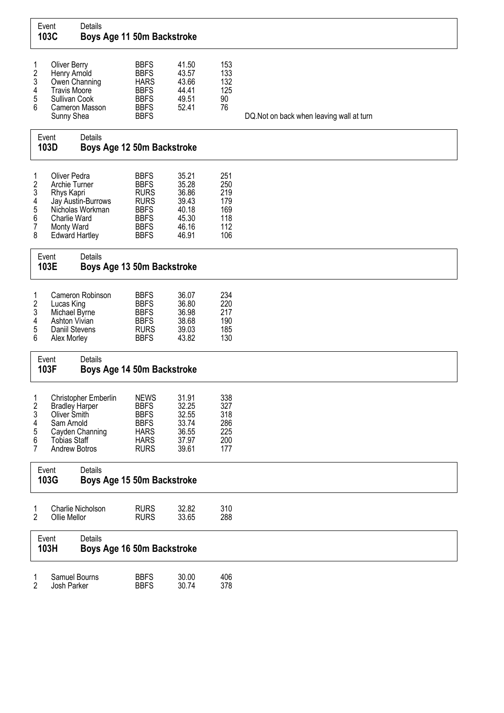|                                      | Event<br>103C                                                                                              | Details<br>Boys Age 11 50m Backstroke   |                                                                                                                      |                                                                      |                                                      |                                           |
|--------------------------------------|------------------------------------------------------------------------------------------------------------|-----------------------------------------|----------------------------------------------------------------------------------------------------------------------|----------------------------------------------------------------------|------------------------------------------------------|-------------------------------------------|
| 1<br>2<br>3<br>4<br>5<br>6           | <b>Oliver Berry</b><br>Henry Arnold<br>Owen Channing<br><b>Travis Moore</b><br>Sullivan Cook<br>Sunny Shea | Cameron Masson                          | <b>BBFS</b><br><b>BBFS</b><br><b>HARS</b><br><b>BBFS</b><br><b>BBFS</b><br><b>BBFS</b><br><b>BBFS</b>                | 41.50<br>43.57<br>43.66<br>44.41<br>49.51<br>52.41                   | 153<br>133<br>132<br>125<br>90<br>76                 | DQ. Not on back when leaving wall at turn |
|                                      | Event<br>103D                                                                                              | Details<br>Boys Age 12 50m Backstroke   |                                                                                                                      |                                                                      |                                                      |                                           |
| 1<br>2<br>3<br>4<br>5<br>6<br>7<br>8 | Oliver Pedra<br>Archie Turner<br>Rhys Kapri<br>Charlie Ward<br>Monty Ward<br><b>Edward Hartley</b>         | Jay Austin-Burrows<br>Nicholas Workman  | <b>BBFS</b><br><b>BBFS</b><br><b>RURS</b><br><b>RURS</b><br><b>BBFS</b><br><b>BBFS</b><br><b>BBFS</b><br><b>BBFS</b> | 35.21<br>35.28<br>36.86<br>39.43<br>40.18<br>45.30<br>46.16<br>46.91 | 251<br>250<br>219<br>179<br>169<br>118<br>112<br>106 |                                           |
|                                      | Event<br>103E                                                                                              | Details<br>Boys Age 13 50m Backstroke   |                                                                                                                      |                                                                      |                                                      |                                           |
| 1<br>2<br>3<br>4<br>5<br>6           | Lucas King<br>Michael Byrne<br>Ashton Vivian<br>Daniil Stevens<br>Alex Morley                              | Cameron Robinson                        | <b>BBFS</b><br><b>BBFS</b><br><b>BBFS</b><br><b>BBFS</b><br><b>RURS</b><br><b>BBFS</b>                               | 36.07<br>36.80<br>36.98<br>38.68<br>39.03<br>43.82                   | 234<br>220<br>217<br>190<br>185<br>130               |                                           |
|                                      | Event<br>103F                                                                                              | Details<br>Boys Age 14 50m Backstroke   |                                                                                                                      |                                                                      |                                                      |                                           |
| 1<br>2<br>3<br>4<br>5<br>6<br>7      | <b>Bradley Harper</b><br>Oliver Smith<br>Sam Arnold<br><b>Tobias Staff</b><br>Andrew Botros                | Christopher Emberlin<br>Cayden Channing | <b>NEWS</b><br><b>BBFS</b><br><b>BBFS</b><br><b>BBFS</b><br><b>HARS</b><br><b>HARS</b><br><b>RURS</b>                | 31.91<br>32.25<br>32.55<br>33.74<br>36.55<br>37.97<br>39.61          | 338<br>327<br>318<br>286<br>225<br>200<br>177        |                                           |
|                                      | Event<br>103G                                                                                              | Details<br>Boys Age 15 50m Backstroke   |                                                                                                                      |                                                                      |                                                      |                                           |
| 1<br>2                               | Ollie Mellor                                                                                               | Charlie Nicholson                       | <b>RURS</b><br><b>RURS</b>                                                                                           | 32.82<br>33.65                                                       | 310<br>288                                           |                                           |
|                                      | Event<br>103H                                                                                              | Details<br>Boys Age 16 50m Backstroke   |                                                                                                                      |                                                                      |                                                      |                                           |
| 1<br>2                               | Samuel Bourns<br>Josh Parker                                                                               |                                         | <b>BBFS</b><br><b>BBFS</b>                                                                                           | 30.00<br>30.74                                                       | 406<br>378                                           |                                           |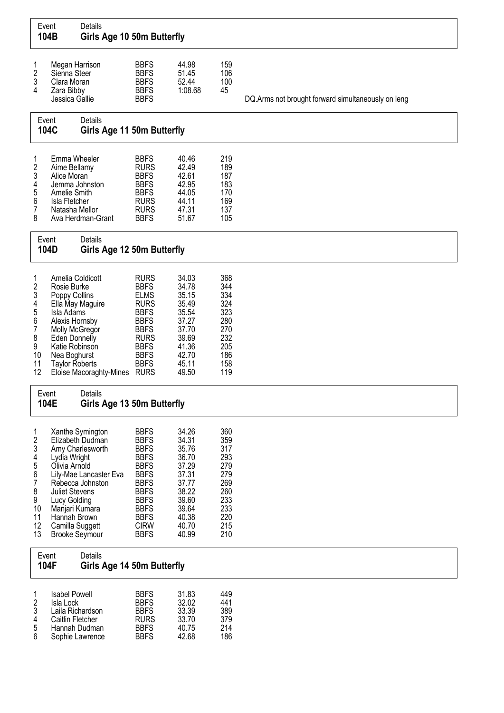| Event                                                                                   | 104B                                                                                                                                                                           | Details<br>Girls Age 10 50m Butterfly                                                                  |                                                                                                                                                                                                 |                                                                                                                   |                                                                                         |                                                    |
|-----------------------------------------------------------------------------------------|--------------------------------------------------------------------------------------------------------------------------------------------------------------------------------|--------------------------------------------------------------------------------------------------------|-------------------------------------------------------------------------------------------------------------------------------------------------------------------------------------------------|-------------------------------------------------------------------------------------------------------------------|-----------------------------------------------------------------------------------------|----------------------------------------------------|
| 1<br>2<br>3<br>4                                                                        | Megan Harrison<br>Sienna Steer<br>Clara Moran<br>Zara Bibby<br>Jessica Gallie                                                                                                  |                                                                                                        | <b>BBFS</b><br><b>BBFS</b><br><b>BBFS</b><br><b>BBFS</b><br><b>BBFS</b>                                                                                                                         | 44.98<br>51.45<br>52.44<br>1:08.68                                                                                | 159<br>106<br>100<br>45                                                                 | DQ.Arms not brought forward simultaneously on leng |
| Event                                                                                   | 104C                                                                                                                                                                           | Details<br>Girls Age 11 50m Butterfly                                                                  |                                                                                                                                                                                                 |                                                                                                                   |                                                                                         |                                                    |
| 1<br>2<br>3<br>4<br>5<br>6<br>7<br>8                                                    | Emma Wheeler<br>Aime Bellamy<br>Alice Moran<br>Amelie Smith<br>Isla Fletcher<br>Natasha Mellor                                                                                 | Jemma Johnston<br>Ava Herdman-Grant                                                                    | <b>BBFS</b><br><b>RURS</b><br><b>BBFS</b><br><b>BBFS</b><br><b>BBFS</b><br><b>RURS</b><br><b>RURS</b><br><b>BBFS</b>                                                                            | 40.46<br>42.49<br>42.61<br>42.95<br>44.05<br>44.11<br>47.31<br>51.67                                              | 219<br>189<br>187<br>183<br>170<br>169<br>137<br>105                                    |                                                    |
| Event                                                                                   | 104D                                                                                                                                                                           | Details<br>Girls Age 12 50m Butterfly                                                                  |                                                                                                                                                                                                 |                                                                                                                   |                                                                                         |                                                    |
| 1<br>2<br>3<br>4<br>5<br>6<br>7<br>8<br>9<br>10<br>11<br>12                             | Amelia Coldicott<br>Rosie Burke<br>Poppy Collins<br>Isla Adams<br>Alexis Hornsby<br>Molly McGregor<br>Eden Donnelly<br>Katie Robinson<br>Nea Boghurst<br><b>Taylor Roberts</b> | Ella May Maguire<br>Eloise Macoraghty-Mines RURS                                                       | <b>RURS</b><br><b>BBFS</b><br><b>ELMS</b><br><b>RURS</b><br><b>BBFS</b><br><b>BBFS</b><br><b>BBFS</b><br><b>RURS</b><br><b>BBFS</b><br><b>BBFS</b><br><b>BBFS</b>                               | 34.03<br>34.78<br>35.15<br>35.49<br>35.54<br>37.27<br>37.70<br>39.69<br>41.36<br>42.70<br>45.11<br>49.50          | 368<br>344<br>334<br>324<br>323<br>280<br>270<br>232<br>205<br>186<br>158<br>119        |                                                    |
| Event<br>104E                                                                           |                                                                                                                                                                                | Details<br>Girls Age 13 50m Butterfly                                                                  |                                                                                                                                                                                                 |                                                                                                                   |                                                                                         |                                                    |
| 1<br>$\overline{\mathbf{c}}$<br>3<br>4<br>5<br>6<br>7<br>8<br>9<br>10<br>11<br>12<br>13 | Lydia Wright<br>Olivia Arnold<br><b>Juliet Stevens</b><br>Lucy Golding<br>Manjari Kumara<br>Hannah Brown<br>Camilla Suggett<br><b>Brooke Seymour</b>                           | Xanthe Symington<br>Elizabeth Dudman<br>Amy Charlesworth<br>Lily-Mae Lancaster Eva<br>Rebecca Johnston | <b>BBFS</b><br><b>BBFS</b><br><b>BBFS</b><br><b>BBFS</b><br><b>BBFS</b><br><b>BBFS</b><br><b>BBFS</b><br><b>BBFS</b><br><b>BBFS</b><br><b>BBFS</b><br><b>BBFS</b><br><b>CIRW</b><br><b>BBFS</b> | 34.26<br>34.31<br>35.76<br>36.70<br>37.29<br>37.31<br>37.77<br>38.22<br>39.60<br>39.64<br>40.38<br>40.70<br>40.99 | 360<br>359<br>317<br>293<br>279<br>279<br>269<br>260<br>233<br>233<br>220<br>215<br>210 |                                                    |
| Event<br>104F                                                                           |                                                                                                                                                                                | Details<br>Girls Age 14 50m Butterfly                                                                  |                                                                                                                                                                                                 |                                                                                                                   |                                                                                         |                                                    |
| 1<br>2<br>3<br>4<br>5<br>6                                                              | <b>Isabel Powell</b><br>Isla Lock<br>Laila Richardson<br>Caitlin Fletcher                                                                                                      | Hannah Dudman<br>Sophie Lawrence                                                                       | <b>BBFS</b><br><b>BBFS</b><br><b>BBFS</b><br><b>RURS</b><br><b>BBFS</b><br><b>BBFS</b>                                                                                                          | 31.83<br>32.02<br>33.39<br>33.70<br>40.75<br>42.68                                                                | 449<br>441<br>389<br>379<br>214<br>186                                                  |                                                    |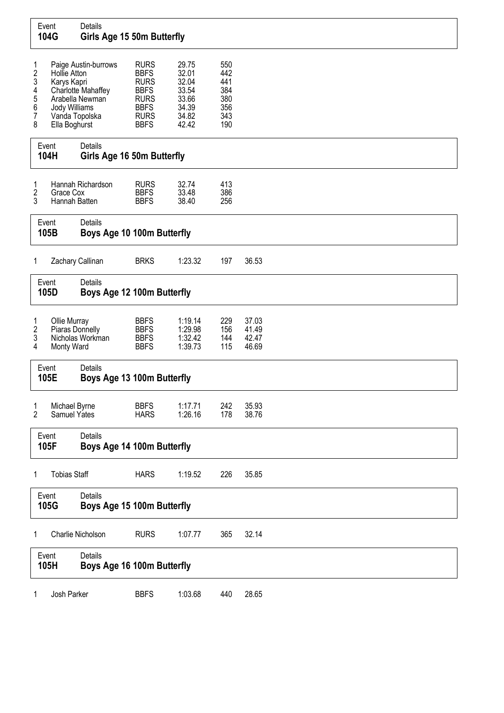|                                                            | Event<br>104G                                                                   | Details<br>Girls Age 15 50m Butterfly                         |                                                                                                                      |                                                                      |                                                      |                                  |  |
|------------------------------------------------------------|---------------------------------------------------------------------------------|---------------------------------------------------------------|----------------------------------------------------------------------------------------------------------------------|----------------------------------------------------------------------|------------------------------------------------------|----------------------------------|--|
| 1<br>$\overline{\mathbf{c}}$<br>3<br>4<br>5<br>6<br>7<br>8 | Hollie Atton<br>Karys Kapri<br>Jody Williams<br>Vanda Topolska<br>Ella Boghurst | Paige Austin-burrows<br>Charlotte Mahaffey<br>Arabella Newman | <b>RURS</b><br><b>BBFS</b><br><b>RURS</b><br><b>BBFS</b><br><b>RURS</b><br><b>BBFS</b><br><b>RURS</b><br><b>BBFS</b> | 29.75<br>32.01<br>32.04<br>33.54<br>33.66<br>34.39<br>34.82<br>42.42 | 550<br>442<br>441<br>384<br>380<br>356<br>343<br>190 |                                  |  |
|                                                            | Event<br>104H                                                                   | Details<br>Girls Age 16 50m Butterfly                         |                                                                                                                      |                                                                      |                                                      |                                  |  |
| 1<br>$\overline{2}$<br>3                                   | Grace Cox<br>Hannah Batten                                                      | Hannah Richardson                                             | <b>RURS</b><br><b>BBFS</b><br><b>BBFS</b>                                                                            | 32.74<br>33.48<br>38.40                                              | 413<br>386<br>256                                    |                                  |  |
|                                                            | Event<br>105B                                                                   | Details<br>Boys Age 10 100m Butterfly                         |                                                                                                                      |                                                                      |                                                      |                                  |  |
| 1                                                          | Zachary Callinan                                                                |                                                               | <b>BRKS</b>                                                                                                          | 1:23.32                                                              | 197                                                  | 36.53                            |  |
|                                                            | Event<br>105D                                                                   | Details<br>Boys Age 12 100m Butterfly                         |                                                                                                                      |                                                                      |                                                      |                                  |  |
| 1<br>$\boldsymbol{2}$<br>3<br>4                            | Ollie Murray<br>Piaras Donnelly<br>Monty Ward                                   | Nicholas Workman                                              | <b>BBFS</b><br><b>BBFS</b><br><b>BBFS</b><br><b>BBFS</b>                                                             | 1:19.14<br>1:29.98<br>1:32.42<br>1:39.73                             | 229<br>156<br>144<br>115                             | 37.03<br>41.49<br>42.47<br>46.69 |  |
|                                                            | Event<br>105E                                                                   | Details<br>Boys Age 13 100m Butterfly                         |                                                                                                                      |                                                                      |                                                      |                                  |  |
| $\mathbf{1}$<br>$\overline{2}$                             | Michael Byrne<br>Samuel Yates                                                   |                                                               | <b>BBFS</b><br><b>HARS</b>                                                                                           | 1:17.71<br>1:26.16                                                   | 242<br>178                                           | 35.93<br>38.76                   |  |
|                                                            | Event<br>105F                                                                   | Details<br>Boys Age 14 100m Butterfly                         |                                                                                                                      |                                                                      |                                                      |                                  |  |
| 1                                                          | <b>Tobias Staff</b>                                                             |                                                               | <b>HARS</b>                                                                                                          | 1:19.52                                                              | 226                                                  | 35.85                            |  |
|                                                            | Event<br>105G                                                                   | Details<br>Boys Age 15 100m Butterfly                         |                                                                                                                      |                                                                      |                                                      |                                  |  |
| 1                                                          |                                                                                 | Charlie Nicholson                                             | <b>RURS</b>                                                                                                          | 1:07.77                                                              | 365                                                  | 32.14                            |  |
|                                                            | Event<br>105H                                                                   | Details<br>Boys Age 16 100m Butterfly                         |                                                                                                                      |                                                                      |                                                      |                                  |  |
| 1                                                          | Josh Parker                                                                     |                                                               | <b>BBFS</b>                                                                                                          | 1:03.68                                                              | 440                                                  | 28.65                            |  |

 $\Gamma$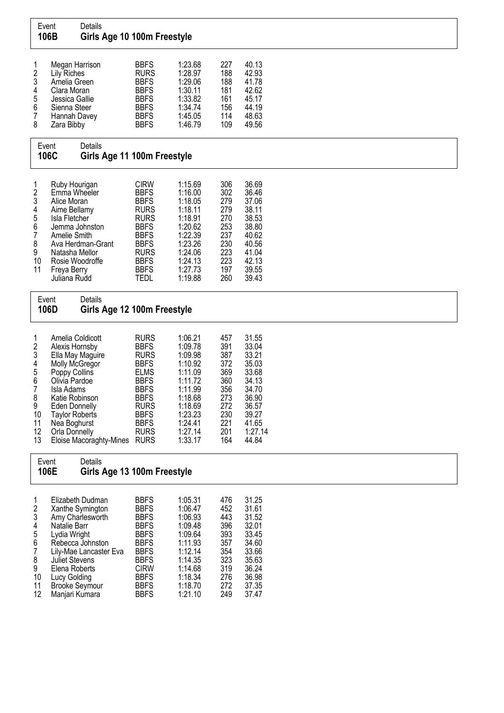|                                                                                           | Event<br>Details<br>106B                                                                                                                                                                                                                                       | Girls Age 10 100m Freestyle |                                                                                                                                                                                                 |                                                                                                                                             |                                                                                         |                                                                                                                     |
|-------------------------------------------------------------------------------------------|----------------------------------------------------------------------------------------------------------------------------------------------------------------------------------------------------------------------------------------------------------------|-----------------------------|-------------------------------------------------------------------------------------------------------------------------------------------------------------------------------------------------|---------------------------------------------------------------------------------------------------------------------------------------------|-----------------------------------------------------------------------------------------|---------------------------------------------------------------------------------------------------------------------|
| 1<br>2<br>3<br>4<br>5<br>6<br>7<br>8                                                      | Megan Harrison<br><b>Lily Riches</b><br>Amelia Green<br>Clara Moran<br>Jessica Gallie<br>Sienna Steer<br>Hannah Davey<br>Zara Bibby                                                                                                                            |                             | <b>BBFS</b><br><b>RURS</b><br><b>BBFS</b><br><b>BBFS</b><br><b>BBFS</b><br><b>BBFS</b><br><b>BBFS</b><br><b>BBFS</b>                                                                            | 1:23.68<br>1:28.97<br>1:29.06<br>1:30.11<br>1:33.82<br>1:34.74<br>1:45.05<br>1:46.79                                                        | 227<br>188<br>188<br>181<br>161<br>156<br>114<br>109                                    | 40.13<br>42.93<br>41.78<br>42.62<br>45.17<br>44.19<br>48.63<br>49.56                                                |
|                                                                                           | Details<br>Event<br>106C                                                                                                                                                                                                                                       | Girls Age 11 100m Freestyle |                                                                                                                                                                                                 |                                                                                                                                             |                                                                                         |                                                                                                                     |
| 1<br>2<br>3<br>4<br>5<br>6<br>7<br>8<br>9<br>10<br>11                                     | Ruby Hourigan<br>Emma Wheeler<br>Alice Moran<br>Aime Bellamy<br>Isla Fletcher<br>Jemma Johnston<br>Amelie Smith<br>Ava Herdman-Grant<br>Natasha Mellor<br>Rosie Woodroffe<br>Freya Berry<br>Juliana Rudd                                                       |                             | <b>CIRW</b><br><b>BBFS</b><br><b>BBFS</b><br><b>RURS</b><br><b>RURS</b><br><b>BBFS</b><br><b>BBFS</b><br><b>BBFS</b><br><b>RURS</b><br><b>BBFS</b><br><b>BBFS</b><br><b>TEDL</b>                | 1:15.69<br>1:16.00<br>1:18.05<br>1:18.11<br>1:18.91<br>1:20.62<br>1:22.39<br>1:23.26<br>1:24.06<br>1:24.13<br>1:27.73<br>1:19.88            | 306<br>302<br>279<br>279<br>270<br>253<br>237<br>230<br>223<br>223<br>197<br>260        | 36.69<br>36.46<br>37.06<br>38.11<br>38.53<br>38.80<br>40.62<br>40.56<br>41.04<br>42.13<br>39.55<br>39.43            |
|                                                                                           | Details<br>Event<br>106D                                                                                                                                                                                                                                       | Girls Age 12 100m Freestyle |                                                                                                                                                                                                 |                                                                                                                                             |                                                                                         |                                                                                                                     |
| $\mathbf{1}$<br>$\overline{2}$<br>3<br>4<br>5<br>6<br>7<br>8<br>9<br>10<br>11<br>12<br>13 | Amelia Coldicott<br>Alexis Hornsby<br>Ella May Maguire<br>Molly McGregor<br>Poppy Collins<br>Olivia Pardoe<br>Isla Adams<br>Katie Robinson<br><b>Eden Donnelly</b><br><b>Taylor Roberts</b><br>Nea Boghurst<br><b>Orla Donnelly</b><br>Eloise Macoraghty-Mines |                             | <b>RURS</b><br><b>BBFS</b><br><b>RURS</b><br><b>BBFS</b><br><b>ELMS</b><br><b>BBFS</b><br><b>BBFS</b><br><b>BBFS</b><br><b>RURS</b><br><b>BBFS</b><br><b>BBFS</b><br><b>RURS</b><br><b>RURS</b> | 1:06.21<br>1:09.78<br>1:09.98<br>1:10.92<br>1:11.09<br>1:11.72<br>1:11.99<br>1:18.68<br>1:18.69<br>1:23.23<br>1:24.41<br>1:27.14<br>1:33.17 | 457<br>391<br>387<br>372<br>369<br>360<br>356<br>273<br>272<br>230<br>221<br>201<br>164 | 31.55<br>33.04<br>33.21<br>35.03<br>33.68<br>34.13<br>34.70<br>36.90<br>36.57<br>39.27<br>41.65<br>1:27.14<br>44.84 |
|                                                                                           | Details<br>Event<br>106E                                                                                                                                                                                                                                       | Girls Age 13 100m Freestyle |                                                                                                                                                                                                 |                                                                                                                                             |                                                                                         |                                                                                                                     |
| 1<br>2<br>3<br>4<br>5<br>6<br>7<br>8<br>9<br>10<br>11<br>12                               | Elizabeth Dudman<br>Xanthe Symington<br>Amy Charlesworth<br>Natalie Barr<br>Lydia Wright<br>Rebecca Johnston<br>Lily-Mae Lancaster Eva<br><b>Juliet Stevens</b><br>Elena Roberts<br>Lucy Golding<br><b>Brooke Seymour</b><br>Manjari Kumara                    |                             | <b>BBFS</b><br><b>BBFS</b><br><b>BBFS</b><br><b>BBFS</b><br><b>BBFS</b><br><b>BBFS</b><br><b>BBFS</b><br><b>BBFS</b><br><b>CIRW</b><br><b>BBFS</b><br><b>BBFS</b><br><b>BBFS</b>                | 1:05.31<br>1:06.47<br>1:06.93<br>1:09.48<br>1:09.64<br>1:11.93<br>1:12.14<br>1:14.35<br>1:14.68<br>1:18.34<br>1:18.70<br>1:21.10            | 476<br>452<br>443<br>396<br>393<br>357<br>354<br>323<br>319<br>276<br>272<br>249        | 31.25<br>31.61<br>31.52<br>32.01<br>33.45<br>34.60<br>33.66<br>35.63<br>36.24<br>36.98<br>37.35<br>37.47            |

٦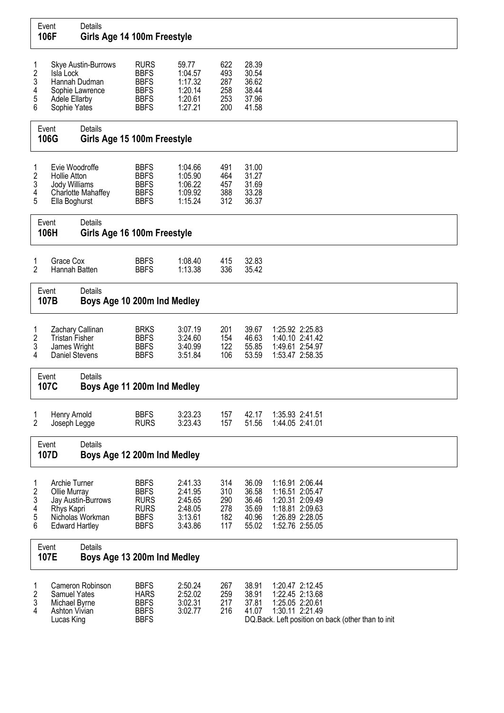|                                                  | Event<br>106F                                                               | Details<br>Girls Age 14 100m Freestyle                  |                                                                                        |                                                                |                                        |                                                    |                                                                                                                                |
|--------------------------------------------------|-----------------------------------------------------------------------------|---------------------------------------------------------|----------------------------------------------------------------------------------------|----------------------------------------------------------------|----------------------------------------|----------------------------------------------------|--------------------------------------------------------------------------------------------------------------------------------|
| 1<br>$\overline{\mathbf{c}}$<br>3<br>4<br>5<br>6 | Isla Lock<br><b>Adele Ellarby</b><br>Sophie Yates                           | Skye Austin-Burrows<br>Hannah Dudman<br>Sophie Lawrence | <b>RURS</b><br><b>BBFS</b><br><b>BBFS</b><br><b>BBFS</b><br><b>BBFS</b><br><b>BBFS</b> | 59.77<br>1:04.57<br>1:17.32<br>1:20.14<br>1:20.61<br>1:27.21   | 622<br>493<br>287<br>258<br>253<br>200 | 28.39<br>30.54<br>36.62<br>38.44<br>37.96<br>41.58 |                                                                                                                                |
|                                                  | Event<br>106G                                                               | Details<br>Girls Age 15 100m Freestyle                  |                                                                                        |                                                                |                                        |                                                    |                                                                                                                                |
| 1<br>$\overline{\mathbf{c}}$<br>3<br>4<br>5      | Evie Woodroffe<br><b>Hollie Atton</b><br>Jody Williams<br>Ella Boghurst     | <b>Charlotte Mahaffey</b>                               | <b>BBFS</b><br><b>BBFS</b><br><b>BBFS</b><br><b>BBFS</b><br><b>BBFS</b>                | 1:04.66<br>1:05.90<br>1:06.22<br>1:09.92<br>1:15.24            | 491<br>464<br>457<br>388<br>312        | 31.00<br>31.27<br>31.69<br>33.28<br>36.37          |                                                                                                                                |
|                                                  | Event<br>106H                                                               | Details<br>Girls Age 16 100m Freestyle                  |                                                                                        |                                                                |                                        |                                                    |                                                                                                                                |
| 1<br>2                                           | Grace Cox<br>Hannah Batten                                                  |                                                         | <b>BBFS</b><br><b>BBFS</b>                                                             | 1:08.40<br>1:13.38                                             | 415<br>336                             | 32.83<br>35.42                                     |                                                                                                                                |
|                                                  | Event<br>107B                                                               | Details<br>Boys Age 10 200m Ind Medley                  |                                                                                        |                                                                |                                        |                                                    |                                                                                                                                |
| 1<br>$\boldsymbol{2}$<br>3<br>4                  | Zachary Callinan<br><b>Tristan Fisher</b><br>James Wright<br>Daniel Stevens |                                                         | <b>BRKS</b><br><b>BBFS</b><br><b>BBFS</b><br><b>BBFS</b>                               | 3:07.19<br>3:24.60<br>3:40.99<br>3:51.84                       | 201<br>154<br>122<br>106               | 39.67<br>46.63<br>55.85<br>53.59                   | 1:25.92 2:25.83<br>1:40.10 2:41.42<br>1:49.61 2:54.97<br>1:53.47 2:58.35                                                       |
|                                                  | Event<br>107C                                                               | Details<br>Boys Age 11 200m Ind Medley                  |                                                                                        |                                                                |                                        |                                                    |                                                                                                                                |
| 1<br>2                                           | Henry Arnold<br>Joseph Legge                                                |                                                         | <b>BBFS</b><br><b>RURS</b>                                                             | 3:23.23<br>3:23.43                                             | 157<br>157                             | 42.17<br>51.56                                     | 1:35.93 2:41.51<br>1:44.05 2:41.01                                                                                             |
|                                                  | Event<br>107D                                                               | <b>Details</b><br>Boys Age 12 200m Ind Medley           |                                                                                        |                                                                |                                        |                                                    |                                                                                                                                |
| 1<br>$\overline{\mathbf{c}}$<br>3<br>4<br>5<br>6 | Archie Turner<br>Ollie Murray<br>Rhys Kapri<br><b>Edward Hartley</b>        | Jay Austin-Burrows<br>Nicholas Workman                  | <b>BBFS</b><br><b>BBFS</b><br><b>RURS</b><br><b>RURS</b><br><b>BBFS</b><br><b>BBFS</b> | 2:41.33<br>2:41.95<br>2:45.65<br>2:48.05<br>3:13.61<br>3:43.86 | 314<br>310<br>290<br>278<br>182<br>117 | 36.09<br>36.58<br>36.46<br>35.69<br>40.96<br>55.02 | 1:16.91 2:06.44<br>1:16.51 2:05.47<br>1:20.31 2:09.49<br>1:18.81 2:09.63<br>1:26.89 2:28.05<br>1:52.76 2:55.05                 |
|                                                  | Event<br>107E                                                               | Details<br>Boys Age 13 200m Ind Medley                  |                                                                                        |                                                                |                                        |                                                    |                                                                                                                                |
| 1<br>$\overline{\mathbf{c}}$<br>3<br>4           | <b>Samuel Yates</b><br>Michael Byrne<br><b>Ashton Vivian</b><br>Lucas King  | Cameron Robinson                                        | <b>BBFS</b><br><b>HARS</b><br><b>BBFS</b><br><b>BBFS</b><br><b>BBFS</b>                | 2:50.24<br>2:52.02<br>3:02.31<br>3:02.77                       | 267<br>259<br>217<br>216               | 38.91<br>38.91<br>37.81<br>41.07                   | 1:20.47 2:12.45<br>1:22.45 2:13.68<br>1:25.05 2:20.61<br>1:30.11 2:21.49<br>DQ.Back. Left position on back (other than to init |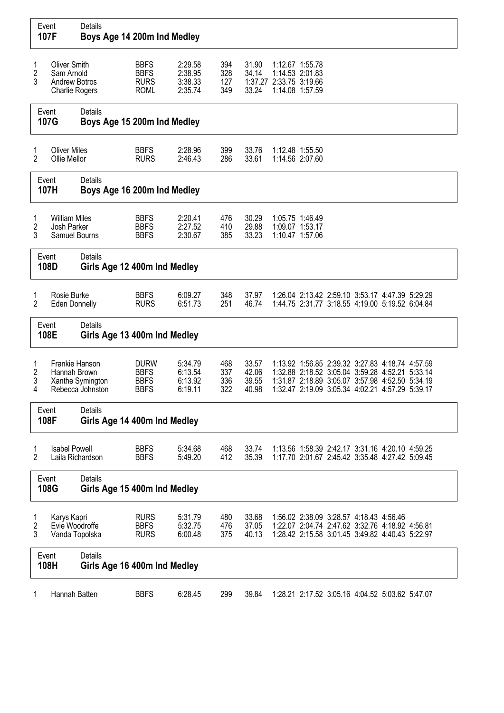|                          | Event<br>107F                                                                      | Details<br>Boys Age 14 200m Ind Medley         |                                                          |                                          |                          |                                  |                                                                                  |  |                                                                                                                                                                                                          |  |  |  |
|--------------------------|------------------------------------------------------------------------------------|------------------------------------------------|----------------------------------------------------------|------------------------------------------|--------------------------|----------------------------------|----------------------------------------------------------------------------------|--|----------------------------------------------------------------------------------------------------------------------------------------------------------------------------------------------------------|--|--|--|
| 1<br>$\overline{c}$<br>3 | <b>Oliver Smith</b><br>Sam Arnold<br><b>Andrew Botros</b><br><b>Charlie Rogers</b> |                                                | <b>BBFS</b><br><b>BBFS</b><br><b>RURS</b><br><b>ROML</b> | 2:29.58<br>2:38.95<br>3:38.33<br>2:35.74 | 394<br>328<br>127<br>349 | 31.90<br>34.14<br>33.24          | 1:12.67 1:55.78<br>1:14.53 2:01.83<br>1:37.27 2:33.75 3:19.66<br>1:14.08 1:57.59 |  |                                                                                                                                                                                                          |  |  |  |
|                          | Event<br>107G                                                                      | Details<br>Boys Age 15 200m Ind Medley         |                                                          |                                          |                          |                                  |                                                                                  |  |                                                                                                                                                                                                          |  |  |  |
| 1<br>$\overline{2}$      | <b>Oliver Miles</b><br>Ollie Mellor                                                |                                                | <b>BBFS</b><br><b>RURS</b>                               | 2:28.96<br>2:46.43                       | 399<br>286               | 33.76<br>33.61                   | 1:12.48 1:55.50<br>1:14.56 2:07.60                                               |  |                                                                                                                                                                                                          |  |  |  |
|                          | Event<br>107H                                                                      | <b>Details</b><br>Boys Age 16 200m Ind Medley  |                                                          |                                          |                          |                                  |                                                                                  |  |                                                                                                                                                                                                          |  |  |  |
| 1<br>2<br>3              | <b>William Miles</b><br>Josh Parker<br>Samuel Bourns                               |                                                | <b>BBFS</b><br><b>BBFS</b><br><b>BBFS</b>                | 2:20.41<br>2:27.52<br>2:30.67            | 476<br>410<br>385        | 30.29<br>29.88<br>33.23          | 1:05.75 1:46.49<br>1:09.07 1:53.17<br>1:10.47 1:57.06                            |  |                                                                                                                                                                                                          |  |  |  |
|                          | Event<br>108D                                                                      | <b>Details</b><br>Girls Age 12 400m Ind Medley |                                                          |                                          |                          |                                  |                                                                                  |  |                                                                                                                                                                                                          |  |  |  |
| 1<br>2                   | Rosie Burke<br><b>Eden Donnelly</b>                                                |                                                | <b>BBFS</b><br><b>RURS</b>                               | 6:09.27<br>6:51.73                       | 348<br>251               | 37.97<br>46.74                   |                                                                                  |  | 1:26.04 2:13.42 2:59.10 3:53.17 4:47.39 5:29.29<br>1:44.75 2:31.77 3:18.55 4:19.00 5:19.52 6:04.84                                                                                                       |  |  |  |
|                          | Event<br>108E                                                                      | Details<br>Girls Age 13 400m Ind Medley        |                                                          |                                          |                          |                                  |                                                                                  |  |                                                                                                                                                                                                          |  |  |  |
| 1<br>2<br>3<br>4         | Frankie Hanson<br>Hannah Brown                                                     | Xanthe Symington<br>Rebecca Johnston           | <b>DURW</b><br><b>BBFS</b><br><b>BBFS</b><br><b>BBFS</b> | 5:34.79<br>6:13.54<br>6:13.92<br>6:19.11 | 468<br>337<br>336<br>322 | 33.57<br>42.06<br>39.55<br>40.98 |                                                                                  |  | 1:13.92 1:56.85 2:39.32 3:27.83 4:18.74 4:57.59<br>1:32.88 2:18.52 3:05.04 3:59.28 4:52.21 5:33.14<br>1:31.87 2:18.89 3:05.07 3:57.98 4:52.50 5:34.19<br>1:32.47 2:19.09 3:05.34 4:02.21 4:57.29 5:39.17 |  |  |  |
|                          | Event<br>108F                                                                      | <b>Details</b><br>Girls Age 14 400m Ind Medley |                                                          |                                          |                          |                                  |                                                                                  |  |                                                                                                                                                                                                          |  |  |  |
| 1<br>$\overline{2}$      | <b>Isabel Powell</b><br>Laila Richardson                                           |                                                | <b>BBFS</b><br><b>BBFS</b>                               | 5:34.68<br>5:49.20                       | 468<br>412               | 33.74<br>35.39                   |                                                                                  |  | 1:13.56 1:58.39 2:42.17 3:31.16 4:20.10 4:59.25<br>1:17.70 2:01.67 2:45.42 3:35.48 4:27.42 5:09.45                                                                                                       |  |  |  |
|                          | Event<br>108G                                                                      | Details<br>Girls Age 15 400m Ind Medley        |                                                          |                                          |                          |                                  |                                                                                  |  |                                                                                                                                                                                                          |  |  |  |
| 1<br>2<br>3              | Karys Kapri<br>Evie Woodroffe<br>Vanda Topolska                                    |                                                | <b>RURS</b><br><b>BBFS</b><br><b>RURS</b>                | 5:31.79<br>5:32.75<br>6:00.48            | 480<br>476<br>375        | 33.68<br>37.05<br>40.13          |                                                                                  |  | 1:56.02 2:38.09 3:28.57 4:18.43 4:56.46<br>1:22.07 2:04.74 2:47.62 3:32.76 4:18.92 4:56.81<br>1:28.42 2:15.58 3:01.45 3:49.82 4:40.43 5:22.97                                                            |  |  |  |
|                          | Event<br>108H                                                                      | <b>Details</b><br>Girls Age 16 400m Ind Medley |                                                          |                                          |                          |                                  |                                                                                  |  |                                                                                                                                                                                                          |  |  |  |
| 1                        | Hannah Batten                                                                      |                                                | <b>BBFS</b>                                              | 6:28.45                                  | 299                      | 39.84                            |                                                                                  |  | 1:28.21 2:17.52 3:05.16 4:04.52 5:03.62 5:47.07                                                                                                                                                          |  |  |  |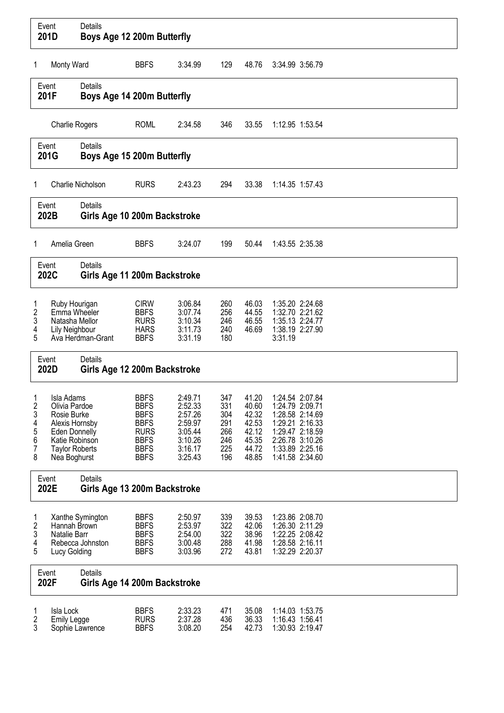|                                                 | Event<br>201D                                                                                                                                   | Details                                 | Boys Age 12 200m Butterfly                                                                                           |                                                                                      |                                                      |                                                                      |                                                                                                                                                      |  |  |  |
|-------------------------------------------------|-------------------------------------------------------------------------------------------------------------------------------------------------|-----------------------------------------|----------------------------------------------------------------------------------------------------------------------|--------------------------------------------------------------------------------------|------------------------------------------------------|----------------------------------------------------------------------|------------------------------------------------------------------------------------------------------------------------------------------------------|--|--|--|
| 1                                               | Monty Ward                                                                                                                                      |                                         | <b>BBFS</b>                                                                                                          | 3:34.99                                                                              | 129                                                  | 48.76                                                                | 3:34.99 3:56.79                                                                                                                                      |  |  |  |
|                                                 | Event<br>201F                                                                                                                                   | <b>Details</b>                          | Boys Age 14 200m Butterfly                                                                                           |                                                                                      |                                                      |                                                                      |                                                                                                                                                      |  |  |  |
|                                                 | <b>Charlie Rogers</b>                                                                                                                           |                                         | <b>ROML</b>                                                                                                          | 2:34.58                                                                              | 346                                                  | 33.55                                                                | 1:12.95 1:53.54                                                                                                                                      |  |  |  |
|                                                 | Event<br>201G                                                                                                                                   | Details                                 | Boys Age 15 200m Butterfly                                                                                           |                                                                                      |                                                      |                                                                      |                                                                                                                                                      |  |  |  |
| 1                                               |                                                                                                                                                 | Charlie Nicholson                       | <b>RURS</b>                                                                                                          | 2:43.23                                                                              | 294                                                  | 33.38                                                                | 1:14.35 1:57.43                                                                                                                                      |  |  |  |
|                                                 | Event<br>202B                                                                                                                                   | Details<br>Girls Age 10 200m Backstroke |                                                                                                                      |                                                                                      |                                                      |                                                                      |                                                                                                                                                      |  |  |  |
| 1                                               | Amelia Green                                                                                                                                    |                                         | <b>BBFS</b>                                                                                                          | 3:24.07                                                                              | 199                                                  | 50.44                                                                | 1:43.55 2:35.38                                                                                                                                      |  |  |  |
|                                                 | Event<br>202C                                                                                                                                   | <b>Details</b>                          | Girls Age 11 200m Backstroke                                                                                         |                                                                                      |                                                      |                                                                      |                                                                                                                                                      |  |  |  |
| 1<br>2<br>3<br>4<br>5                           | Ruby Hourigan<br>Emma Wheeler<br>Natasha Mellor<br>Lily Neighbour                                                                               | Ava Herdman-Grant                       | <b>CIRW</b><br><b>BBFS</b><br><b>RURS</b><br><b>HARS</b><br><b>BBFS</b>                                              | 3:06.84<br>3:07.74<br>3:10.34<br>3:11.73<br>3:31.19                                  | 260<br>256<br>246<br>240<br>180                      | 46.03<br>44.55<br>46.55<br>46.69                                     | 1:35.20 2:24.68<br>1:32.70 2:21.62<br>1:35.13 2:24.77<br>1:38.19 2:27.90<br>3:31.19                                                                  |  |  |  |
|                                                 | Event<br>202D                                                                                                                                   | Details                                 | Girls Age 12 200m Backstroke                                                                                         |                                                                                      |                                                      |                                                                      |                                                                                                                                                      |  |  |  |
| $\mathbf{1}$<br>2<br>3<br>4<br>5<br>6<br>7<br>8 | Isla Adams<br>Olivia Pardoe<br>Rosie Burke<br>Alexis Hornsby<br><b>Eden Donnelly</b><br>Katie Robinson<br><b>Taylor Roberts</b><br>Nea Boghurst |                                         | <b>BBFS</b><br><b>BBFS</b><br><b>BBFS</b><br><b>BBFS</b><br><b>RURS</b><br><b>BBFS</b><br><b>BBFS</b><br><b>BBFS</b> | 2:49.71<br>2:52.33<br>2:57.26<br>2:59.97<br>3:05.44<br>3:10.26<br>3:16.17<br>3:25.43 | 347<br>331<br>304<br>291<br>266<br>246<br>225<br>196 | 41.20<br>40.60<br>42.32<br>42.53<br>42.12<br>45.35<br>44.72<br>48.85 | 1:24.54 2:07.84<br>1:24.79 2:09.71<br>1:28.58 2:14.69<br>1:29.21 2:16.33<br>1:29.47 2:18.59<br>2:26.78 3:10.26<br>1:33.89 2:25.16<br>1:41.58 2:34.60 |  |  |  |
|                                                 | Event<br>202E                                                                                                                                   | Details                                 | Girls Age 13 200m Backstroke                                                                                         |                                                                                      |                                                      |                                                                      |                                                                                                                                                      |  |  |  |
| 1<br>2<br>3<br>4<br>5                           | Hannah Brown<br>Natalie Barr<br>Lucy Golding                                                                                                    | Xanthe Symington<br>Rebecca Johnston    | <b>BBFS</b><br><b>BBFS</b><br><b>BBFS</b><br><b>BBFS</b><br><b>BBFS</b>                                              | 2:50.97<br>2:53.97<br>2:54.00<br>3:00.48<br>3:03.96                                  | 339<br>322<br>322<br>288<br>272                      | 39.53<br>42.06<br>38.96<br>41.98<br>43.81                            | 1:23.86 2:08.70<br>1:26.30 2:11.29<br>1:22.25 2:08.42<br>1:28.58 2:16.11<br>1:32.29 2:20.37                                                          |  |  |  |
|                                                 | Event<br>202F                                                                                                                                   | Details                                 | Girls Age 14 200m Backstroke                                                                                         |                                                                                      |                                                      |                                                                      |                                                                                                                                                      |  |  |  |
| 1<br>2<br>3                                     | Isla Lock<br><b>Emily Legge</b>                                                                                                                 | Sophie Lawrence                         | <b>BBFS</b><br><b>RURS</b><br><b>BBFS</b>                                                                            | 2:33.23<br>2:37.28<br>3:08.20                                                        | 471<br>436<br>254                                    | 35.08<br>36.33<br>42.73                                              | 1:14.03 1:53.75<br>1:16.43 1:56.41<br>1:30.93 2:19.47                                                                                                |  |  |  |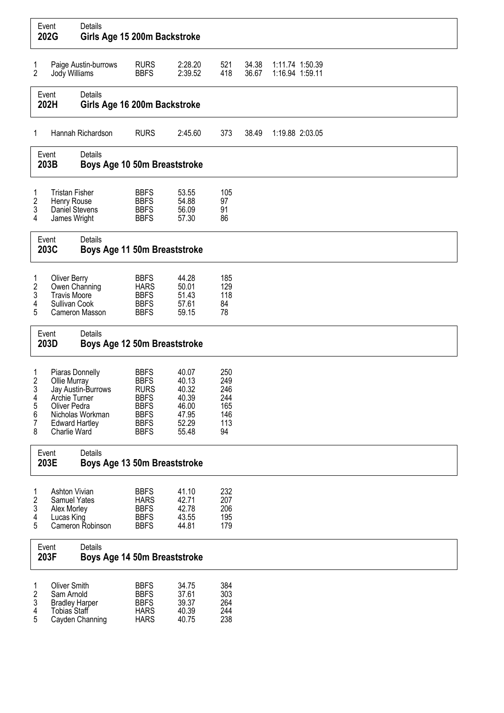|                                      | Event<br>202G                                                                                             | Details<br>Girls Age 15 200m Backstroke |                                                                                                                      |                                                                      |                                                     |                |                                    |  |
|--------------------------------------|-----------------------------------------------------------------------------------------------------------|-----------------------------------------|----------------------------------------------------------------------------------------------------------------------|----------------------------------------------------------------------|-----------------------------------------------------|----------------|------------------------------------|--|
| 1<br>$\overline{2}$                  | Jody Williams                                                                                             | Paige Austin-burrows                    | <b>RURS</b><br><b>BBFS</b>                                                                                           | 2:28.20<br>2:39.52                                                   | 521<br>418                                          | 34.38<br>36.67 | 1:11.74 1:50.39<br>1:16.94 1:59.11 |  |
|                                      | Event<br>202H                                                                                             | Details<br>Girls Age 16 200m Backstroke |                                                                                                                      |                                                                      |                                                     |                |                                    |  |
| 1                                    |                                                                                                           | Hannah Richardson                       | <b>RURS</b>                                                                                                          | 2:45.60                                                              | 373                                                 | 38.49          | 1:19.88 2:03.05                    |  |
|                                      | Event<br>203B                                                                                             | Details<br>Boys Age 10 50m Breaststroke |                                                                                                                      |                                                                      |                                                     |                |                                    |  |
| 1<br>2<br>3<br>4                     | <b>Tristan Fisher</b><br>Henry Rouse<br>Daniel Stevens<br>James Wright                                    |                                         | <b>BBFS</b><br><b>BBFS</b><br><b>BBFS</b><br><b>BBFS</b>                                                             | 53.55<br>54.88<br>56.09<br>57.30                                     | 105<br>97<br>91<br>86                               |                |                                    |  |
|                                      | Event<br>203C                                                                                             | Details<br>Boys Age 11 50m Breaststroke |                                                                                                                      |                                                                      |                                                     |                |                                    |  |
| 1<br>2<br>3<br>4<br>5                | <b>Oliver Berry</b><br>Owen Channing<br><b>Travis Moore</b><br>Sullivan Cook                              | Cameron Masson                          | <b>BBFS</b><br><b>HARS</b><br><b>BBFS</b><br><b>BBFS</b><br><b>BBFS</b>                                              | 44.28<br>50.01<br>51.43<br>57.61<br>59.15                            | 185<br>129<br>118<br>84<br>78                       |                |                                    |  |
|                                      | Event<br>203D                                                                                             | Details<br>Boys Age 12 50m Breaststroke |                                                                                                                      |                                                                      |                                                     |                |                                    |  |
| 1<br>2<br>3<br>4<br>5<br>6<br>7<br>8 | Piaras Donnelly<br>Ollie Murray<br>Archie Turner<br>Oliver Pedra<br><b>Edward Hartley</b><br>Charlie Ward | Jay Austin-Burrows<br>Nicholas Workman  | <b>BBFS</b><br><b>BBFS</b><br><b>RURS</b><br><b>BBFS</b><br><b>BBFS</b><br><b>BBFS</b><br><b>BBFS</b><br><b>BBFS</b> | 40.07<br>40.13<br>40.32<br>40.39<br>46.00<br>47.95<br>52.29<br>55.48 | 250<br>249<br>246<br>244<br>165<br>146<br>113<br>94 |                |                                    |  |
|                                      | Event<br>203E                                                                                             | Details<br>Boys Age 13 50m Breaststroke |                                                                                                                      |                                                                      |                                                     |                |                                    |  |
| 1<br>2<br>3<br>4<br>5                | Ashton Vivian<br>Samuel Yates<br>Alex Morley<br>Lucas King                                                | Cameron Robinson                        | <b>BBFS</b><br><b>HARS</b><br><b>BBFS</b><br><b>BBFS</b><br><b>BBFS</b>                                              | 41.10<br>42.71<br>42.78<br>43.55<br>44.81                            | 232<br>207<br>206<br>195<br>179                     |                |                                    |  |
|                                      | Event<br>203F                                                                                             | Details<br>Boys Age 14 50m Breaststroke |                                                                                                                      |                                                                      |                                                     |                |                                    |  |
| 1<br>2<br>3<br>4<br>5                | <b>Oliver Smith</b><br>Sam Arnold<br><b>Bradley Harper</b><br>Tobias Staff                                | Cayden Channing                         | <b>BBFS</b><br><b>BBFS</b><br><b>BBFS</b><br><b>HARS</b><br><b>HARS</b>                                              | 34.75<br>37.61<br>39.37<br>40.39<br>40.75                            | 384<br>303<br>264<br>244<br>238                     |                |                                    |  |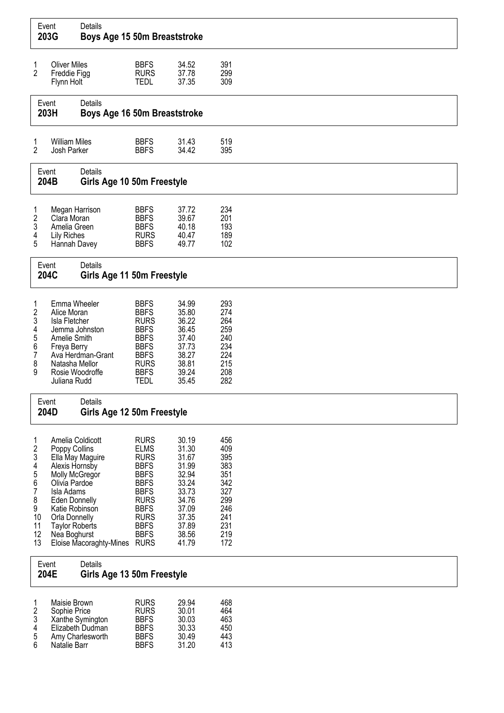|                                                                                         | Event<br>203G                                                                                                                                                                                     | Details<br>Boys Age 15 50m Breaststroke          |                                                                                                                                                                                  |                                                                                                                   |                                                                                         |
|-----------------------------------------------------------------------------------------|---------------------------------------------------------------------------------------------------------------------------------------------------------------------------------------------------|--------------------------------------------------|----------------------------------------------------------------------------------------------------------------------------------------------------------------------------------|-------------------------------------------------------------------------------------------------------------------|-----------------------------------------------------------------------------------------|
| 1<br>$\overline{2}$                                                                     | <b>Oliver Miles</b><br>Freddie Figg<br>Flynn Holt                                                                                                                                                 |                                                  | <b>BBFS</b><br><b>RURS</b><br><b>TEDL</b>                                                                                                                                        | 34.52<br>37.78<br>37.35                                                                                           | 391<br>299<br>309                                                                       |
|                                                                                         | Event<br>203H                                                                                                                                                                                     | Details<br>Boys Age 16 50m Breaststroke          |                                                                                                                                                                                  |                                                                                                                   |                                                                                         |
| 1<br>$\overline{2}$                                                                     | <b>William Miles</b><br>Josh Parker                                                                                                                                                               |                                                  | <b>BBFS</b><br><b>BBFS</b>                                                                                                                                                       | 31.43<br>34.42                                                                                                    | 519<br>395                                                                              |
|                                                                                         | Event<br>204B                                                                                                                                                                                     | Details<br>Girls Age 10 50m Freestyle            |                                                                                                                                                                                  |                                                                                                                   |                                                                                         |
| 1<br>$\overline{\mathbf{c}}$<br>3<br>4<br>5                                             | Megan Harrison<br>Clara Moran<br>Amelia Green<br><b>Lily Riches</b><br>Hannah Davey                                                                                                               |                                                  | <b>BBFS</b><br><b>BBFS</b><br><b>BBFS</b><br><b>RURS</b><br><b>BBFS</b>                                                                                                          | 37.72<br>39.67<br>40.18<br>40.47<br>49.77                                                                         | 234<br>201<br>193<br>189<br>102                                                         |
|                                                                                         | Event<br>204C                                                                                                                                                                                     | Details<br>Girls Age 11 50m Freestyle            |                                                                                                                                                                                  |                                                                                                                   |                                                                                         |
| 1<br>2<br>3<br>4<br>5<br>6<br>7<br>8<br>9                                               | Emma Wheeler<br>Alice Moran<br>Isla Fletcher<br>Amelie Smith<br>Freya Berry<br>Natasha Mellor<br>Rosie Woodroffe<br>Juliana Rudd                                                                  | Jemma Johnston<br>Ava Herdman-Grant              | <b>BBFS</b><br><b>BBFS</b><br><b>RURS</b><br><b>BBFS</b><br><b>BBFS</b><br><b>BBFS</b><br><b>BBFS</b><br><b>RURS</b><br><b>BBFS</b><br><b>TEDL</b>                               | 34.99<br>35.80<br>36.22<br>36.45<br>37.40<br>37.73<br>38.27<br>38.81<br>39.24<br>35.45                            | 293<br>274<br>264<br>259<br>240<br>234<br>224<br>215<br>208<br>282                      |
|                                                                                         | Event<br>204D                                                                                                                                                                                     | Details<br>Girls Age 12 50m Freestyle            |                                                                                                                                                                                  |                                                                                                                   |                                                                                         |
| 1<br>$\overline{\mathbf{c}}$<br>3<br>4<br>5<br>6<br>7<br>8<br>9<br>10<br>11<br>12<br>13 | Amelia Coldicott<br>Poppy Collins<br>Alexis Hornsby<br>Molly McGregor<br>Olivia Pardoe<br>Isla Adams<br>Eden Donnelly<br>Katie Robinson<br>Orla Donnelly<br><b>Taylor Roberts</b><br>Nea Boghurst | Ella May Maguire<br>Eloise Macoraghty-Mines RURS | <b>RURS</b><br><b>ELMS</b><br><b>RURS</b><br><b>BBFS</b><br><b>BBFS</b><br><b>BBFS</b><br><b>BBFS</b><br><b>RURS</b><br><b>BBFS</b><br><b>RURS</b><br><b>BBFS</b><br><b>BBFS</b> | 30.19<br>31.30<br>31.67<br>31.99<br>32.94<br>33.24<br>33.73<br>34.76<br>37.09<br>37.35<br>37.89<br>38.56<br>41.79 | 456<br>409<br>395<br>383<br>351<br>342<br>327<br>299<br>246<br>241<br>231<br>219<br>172 |
|                                                                                         | Event<br>204E                                                                                                                                                                                     | Details<br>Girls Age 13 50m Freestyle            |                                                                                                                                                                                  |                                                                                                                   |                                                                                         |
| 1<br>$\overline{\mathbf{c}}$<br>3<br>4                                                  | Maisie Brown<br>Sophie Price                                                                                                                                                                      | Xanthe Symington<br>Elizabeth Dudman             | <b>RURS</b><br><b>RURS</b><br><b>BBFS</b><br><b>BBFS</b>                                                                                                                         | 29.94<br>30.01<br>30.03<br>30.33                                                                                  | 468<br>464<br>463<br>450                                                                |

5 Amy Charlesworth BBFS 30.49 443 e Any original Barrell Barrell Barrell Barrell Barrell Barrell Barrell Barrell Barrell Barrell Barrell Barrell<br>6 Natalie Barrell BBFS 31.20 413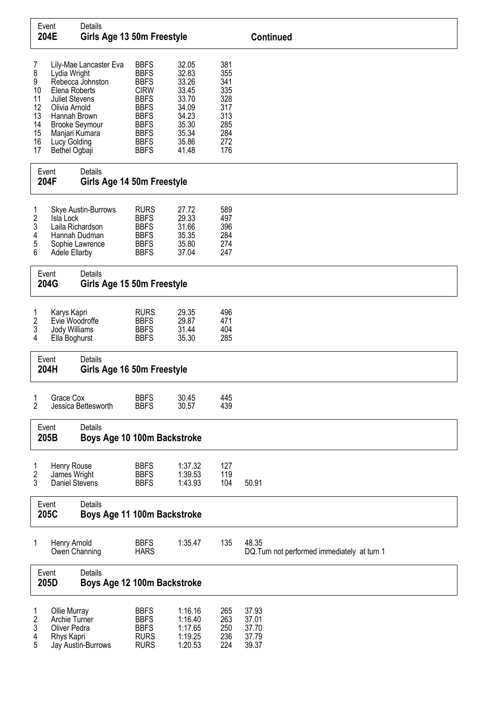| Event                                                       | 204E                                                                                                                                       | Details<br>Girls Age 13 50m Freestyle                               |                                                                                                                                                                   |                                                                                                 |                                                                           | <b>Continued</b>                                      |
|-------------------------------------------------------------|--------------------------------------------------------------------------------------------------------------------------------------------|---------------------------------------------------------------------|-------------------------------------------------------------------------------------------------------------------------------------------------------------------|-------------------------------------------------------------------------------------------------|---------------------------------------------------------------------------|-------------------------------------------------------|
| 7<br>8<br>9<br>10<br>11<br>12<br>13<br>14<br>15<br>16<br>17 | Lydia Wright<br>Elena Roberts<br><b>Juliet Stevens</b><br>Olivia Arnold<br>Hannah Brown<br>Manjari Kumara<br>Lucy Golding<br>Bethel Ogbaji | Lily-Mae Lancaster Eva<br>Rebecca Johnston<br><b>Brooke Seymour</b> | <b>BBFS</b><br><b>BBFS</b><br><b>BBFS</b><br><b>CIRW</b><br><b>BBFS</b><br><b>BBFS</b><br><b>BBFS</b><br><b>BBFS</b><br><b>BBFS</b><br><b>BBFS</b><br><b>BBFS</b> | 32.05<br>32.83<br>33.26<br>33.45<br>33.70<br>34.09<br>34.23<br>35.30<br>35.34<br>35.86<br>41.48 | 381<br>355<br>341<br>335<br>328<br>317<br>313<br>285<br>284<br>272<br>176 |                                                       |
| Event<br>204F                                               |                                                                                                                                            | Details<br>Girls Age 14 50m Freestyle                               |                                                                                                                                                                   |                                                                                                 |                                                                           |                                                       |
| 1<br>2<br>3<br>4<br>5<br>6                                  | Isla Lock<br>Laila Richardson<br>Adele Ellarby                                                                                             | <b>Skye Austin-Burrows</b><br>Hannah Dudman<br>Sophie Lawrence      | <b>RURS</b><br><b>BBFS</b><br><b>BBFS</b><br><b>BBFS</b><br><b>BBFS</b><br><b>BBFS</b>                                                                            | 27.72<br>29.33<br>31.66<br>35.35<br>35.80<br>37.04                                              | 589<br>497<br>396<br>284<br>274<br>247                                    |                                                       |
| Event                                                       | 204G                                                                                                                                       | Details<br>Girls Age 15 50m Freestyle                               |                                                                                                                                                                   |                                                                                                 |                                                                           |                                                       |
| 1<br>2<br>3<br>4                                            | Karys Kapri<br>Evie Woodroffe<br>Jody Williams<br>Ella Boghurst                                                                            |                                                                     | <b>RURS</b><br><b>BBFS</b><br><b>BBFS</b><br><b>BBFS</b>                                                                                                          | 29.35<br>29.87<br>31.44<br>35.30                                                                | 496<br>471<br>404<br>285                                                  |                                                       |
| Event                                                       | 204H                                                                                                                                       | Details<br>Girls Age 16 50m Freestyle                               |                                                                                                                                                                   |                                                                                                 |                                                                           |                                                       |
| 1<br>$\overline{2}$                                         | Grace Cox                                                                                                                                  | Jessica Bettesworth                                                 | <b>BBFS</b><br><b>BBFS</b>                                                                                                                                        | 30.45<br>30.57                                                                                  | 445<br>439                                                                |                                                       |
| Event                                                       | 205B                                                                                                                                       | Details<br>Boys Age 10 100m Backstroke                              |                                                                                                                                                                   |                                                                                                 |                                                                           |                                                       |
| 1<br>2<br>3                                                 | Henry Rouse<br>James Wright<br>Daniel Stevens                                                                                              |                                                                     | <b>BBFS</b><br><b>BBFS</b><br><b>BBFS</b>                                                                                                                         | 1:37.32<br>1:39.53<br>1:43.93                                                                   | 127<br>119<br>104                                                         | 50.91                                                 |
| Event                                                       | 205C                                                                                                                                       | Details<br>Boys Age 11 100m Backstroke                              |                                                                                                                                                                   |                                                                                                 |                                                                           |                                                       |
| 1                                                           | Henry Arnold<br>Owen Channing                                                                                                              |                                                                     | <b>BBFS</b><br><b>HARS</b>                                                                                                                                        | 1:35.47                                                                                         | 135                                                                       | 48.35<br>DQ. Turn not performed immediately at turn 1 |
| Event                                                       | 205D                                                                                                                                       | Details<br>Boys Age 12 100m Backstroke                              |                                                                                                                                                                   |                                                                                                 |                                                                           |                                                       |
| 1<br>2<br>3<br>4<br>5                                       | Ollie Murray<br>Archie Turner<br>Oliver Pedra<br>Rhys Kapri                                                                                | Jay Austin-Burrows                                                  | <b>BBFS</b><br><b>BBFS</b><br><b>BBFS</b><br><b>RURS</b><br><b>RURS</b>                                                                                           | 1:16.16<br>1:16.40<br>1:17.65<br>1:19.25<br>1:20.53                                             | 265<br>263<br>250<br>236<br>224                                           | 37.93<br>37.01<br>37.70<br>37.79<br>39.37             |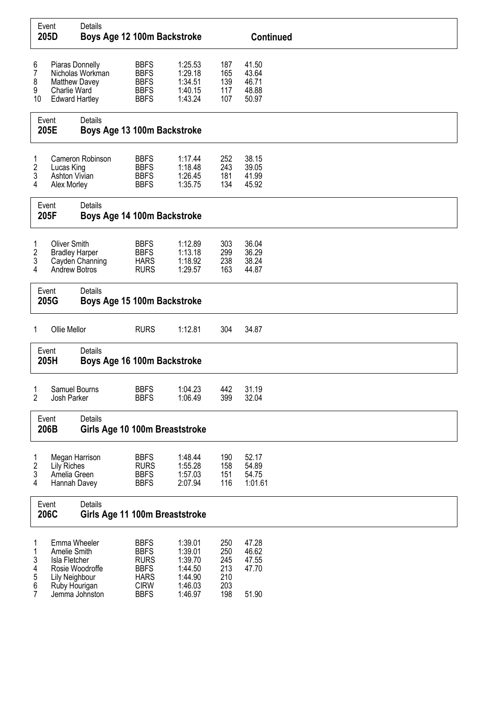| Event<br>205D                   |                                                                                                                       | Details<br>Boys Age 12 100m Backstroke    |                                                                                                       |                                                                           |                                               | <b>Continued</b>                          |  |
|---------------------------------|-----------------------------------------------------------------------------------------------------------------------|-------------------------------------------|-------------------------------------------------------------------------------------------------------|---------------------------------------------------------------------------|-----------------------------------------------|-------------------------------------------|--|
| 6<br>7<br>8<br>9<br>10          | Piaras Donnelly<br>Matthew Davey<br>Charlie Ward<br><b>Edward Hartley</b>                                             | Nicholas Workman                          | <b>BBFS</b><br><b>BBFS</b><br><b>BBFS</b><br><b>BBFS</b><br><b>BBFS</b>                               | 1:25.53<br>1:29.18<br>1:34.51<br>1:40.15<br>1:43.24                       | 187<br>165<br>139<br>117<br>107               | 41.50<br>43.64<br>46.71<br>48.88<br>50.97 |  |
|                                 | Event<br>205E                                                                                                         | Details<br>Boys Age 13 100m Backstroke    |                                                                                                       |                                                                           |                                               |                                           |  |
| 1<br>2<br>3<br>4                | Lucas King<br>Ashton Vivian<br>Alex Morley                                                                            | Cameron Robinson                          | <b>BBFS</b><br><b>BBFS</b><br><b>BBFS</b><br><b>BBFS</b>                                              | 1:17.44<br>1:18.48<br>1:26.45<br>1:35.75                                  | 252<br>243<br>181<br>134                      | 38.15<br>39.05<br>41.99<br>45.92          |  |
|                                 | Event<br>205F                                                                                                         | Details<br>Boys Age 14 100m Backstroke    |                                                                                                       |                                                                           |                                               |                                           |  |
| 1<br>2<br>3<br>4                | <b>Oliver Smith</b><br><b>Bradley Harper</b><br><b>Andrew Botros</b>                                                  | Cayden Channing                           | <b>BBFS</b><br><b>BBFS</b><br><b>HARS</b><br><b>RURS</b>                                              | 1:12.89<br>1:13.18<br>1:18.92<br>1:29.57                                  | 303<br>299<br>238<br>163                      | 36.04<br>36.29<br>38.24<br>44.87          |  |
|                                 | Event<br>205G                                                                                                         | Details<br>Boys Age 15 100m Backstroke    |                                                                                                       |                                                                           |                                               |                                           |  |
| 1                               | Ollie Mellor                                                                                                          |                                           | <b>RURS</b>                                                                                           | 1:12.81                                                                   | 304                                           | 34.87                                     |  |
|                                 | Event<br>205H                                                                                                         | Details<br>Boys Age 16 100m Backstroke    |                                                                                                       |                                                                           |                                               |                                           |  |
| 1<br>2                          | Samuel Bourns<br>Josh Parker                                                                                          |                                           | <b>BBFS</b><br><b>BBFS</b>                                                                            | 1:04.23<br>1:06.49                                                        | 442<br>399                                    | 31.19<br>32.04                            |  |
|                                 | Event<br>206B                                                                                                         | Details<br>Girls Age 10 100m Breaststroke |                                                                                                       |                                                                           |                                               |                                           |  |
| 1<br>2<br>3<br>4                | Megan Harrison<br><b>Lily Riches</b><br>Amelia Green<br>Hannah Davey                                                  |                                           | <b>BBFS</b><br><b>RURS</b><br><b>BBFS</b><br><b>BBFS</b>                                              | 1:48.44<br>1:55.28<br>1:57.03<br>2:07.94                                  | 190<br>158<br>151<br>116                      | 52.17<br>54.89<br>54.75<br>1:01.61        |  |
| Event<br>206C                   |                                                                                                                       | Details<br>Girls Age 11 100m Breaststroke |                                                                                                       |                                                                           |                                               |                                           |  |
| 1<br>1<br>3<br>4<br>5<br>6<br>7 | Emma Wheeler<br>Amelie Smith<br>Isla Fletcher<br>Rosie Woodroffe<br>Lily Neighbour<br>Ruby Hourigan<br>Jemma Johnston |                                           | <b>BBFS</b><br><b>BBFS</b><br><b>RURS</b><br><b>BBFS</b><br><b>HARS</b><br><b>CIRW</b><br><b>BBFS</b> | 1:39.01<br>1:39.01<br>1:39.70<br>1:44.50<br>1:44.90<br>1:46.03<br>1:46.97 | 250<br>250<br>245<br>213<br>210<br>203<br>198 | 47.28<br>46.62<br>47.55<br>47.70<br>51.90 |  |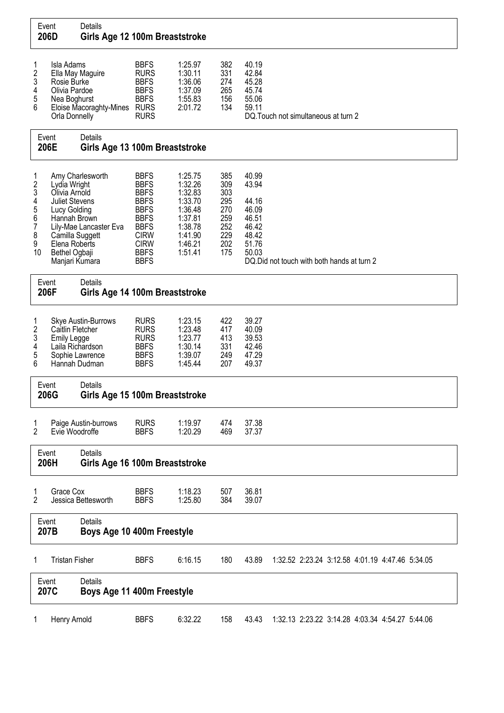| Event<br>206D                                                         |                                                                                                                                                               | Details<br>Girls Age 12 100m Breaststroke        |                                                                                                                                                                   |                                                                                                            |                                                                    |                                                                               |                                                 |
|-----------------------------------------------------------------------|---------------------------------------------------------------------------------------------------------------------------------------------------------------|--------------------------------------------------|-------------------------------------------------------------------------------------------------------------------------------------------------------------------|------------------------------------------------------------------------------------------------------------|--------------------------------------------------------------------|-------------------------------------------------------------------------------|-------------------------------------------------|
| 1<br>$\boldsymbol{2}$<br>3<br>4<br>5<br>6                             | Isla Adams<br>Rosie Burke<br>Olivia Pardoe<br>Nea Boghurst<br>Orla Donnelly                                                                                   | Ella May Maguire<br>Eloise Macoraghty-Mines RURS | <b>BBFS</b><br><b>RURS</b><br><b>BBFS</b><br><b>BBFS</b><br><b>BBFS</b><br><b>RURS</b>                                                                            | 1:25.97<br>1:30.11<br>1:36.06<br>1:37.09<br>1:55.83<br>2:01.72                                             | 382<br>331<br>274<br>265<br>156<br>134                             | 40.19<br>42.84<br>45.28<br>45.74<br>55.06<br>59.11                            | DQ. Touch not simultaneous at turn 2            |
|                                                                       | Event<br>206E                                                                                                                                                 | Details<br>Girls Age 13 100m Breaststroke        |                                                                                                                                                                   |                                                                                                            |                                                                    |                                                                               |                                                 |
| 1<br>$\overline{\mathbf{c}}$<br>3<br>4<br>5<br>6<br>7<br>8<br>9<br>10 | Lydia Wright<br>Olivia Arnold<br><b>Juliet Stevens</b><br>Lucy Golding<br>Hannah Brown<br>Camilla Suggett<br>Elena Roberts<br>Bethel Ogbaji<br>Manjari Kumara | Amy Charlesworth<br>Lily-Mae Lancaster Eva       | <b>BBFS</b><br><b>BBFS</b><br><b>BBFS</b><br><b>BBFS</b><br><b>BBFS</b><br><b>BBFS</b><br><b>BBFS</b><br><b>CIRW</b><br><b>CIRW</b><br><b>BBFS</b><br><b>BBFS</b> | 1:25.75<br>1:32.26<br>1:32.83<br>1:33.70<br>1:36.48<br>1:37.81<br>1:38.78<br>1:41.90<br>1:46.21<br>1:51.41 | 385<br>309<br>303<br>295<br>270<br>259<br>252<br>229<br>202<br>175 | 40.99<br>43.94<br>44.16<br>46.09<br>46.51<br>46.42<br>48.42<br>51.76<br>50.03 | DQ. Did not touch with both hands at turn 2     |
|                                                                       | Event<br>206F                                                                                                                                                 | Details<br>Girls Age 14 100m Breaststroke        |                                                                                                                                                                   |                                                                                                            |                                                                    |                                                                               |                                                 |
| 1<br>$\boldsymbol{2}$<br>3<br>4<br>5<br>6                             | Caitlin Fletcher<br><b>Emily Legge</b><br>Laila Richardson<br>Hannah Dudman                                                                                   | <b>Skye Austin-Burrows</b><br>Sophie Lawrence    | <b>RURS</b><br><b>RURS</b><br><b>RURS</b><br><b>BBFS</b><br><b>BBFS</b><br><b>BBFS</b>                                                                            | 1:23.15<br>1:23.48<br>1:23.77<br>1:30.14<br>1:39.07<br>1:45.44                                             | 422<br>417<br>413<br>331<br>249<br>207                             | 39.27<br>40.09<br>39.53<br>42.46<br>47.29<br>49.37                            |                                                 |
|                                                                       | Event<br>206G                                                                                                                                                 | Details<br>Girls Age 15 100m Breaststroke        |                                                                                                                                                                   |                                                                                                            |                                                                    |                                                                               |                                                 |
| 1<br>$\overline{2}$                                                   | Evie Woodroffe                                                                                                                                                | Paige Austin-burrows                             | <b>RURS</b><br><b>BBFS</b>                                                                                                                                        | 1:19.97<br>1:20.29                                                                                         | 474<br>469                                                         | 37.38<br>37.37                                                                |                                                 |
|                                                                       | Event<br>206H                                                                                                                                                 | Details<br>Girls Age 16 100m Breaststroke        |                                                                                                                                                                   |                                                                                                            |                                                                    |                                                                               |                                                 |
| 1<br>2                                                                | Grace Cox                                                                                                                                                     | Jessica Bettesworth                              | <b>BBFS</b><br><b>BBFS</b>                                                                                                                                        | 1:18.23<br>1:25.80                                                                                         | 507<br>384                                                         | 36.81<br>39.07                                                                |                                                 |
|                                                                       | Event<br>207B                                                                                                                                                 | Details<br>Boys Age 10 400m Freestyle            |                                                                                                                                                                   |                                                                                                            |                                                                    |                                                                               |                                                 |
| 1                                                                     | <b>Tristan Fisher</b>                                                                                                                                         |                                                  | <b>BBFS</b>                                                                                                                                                       | 6:16.15                                                                                                    | 180                                                                | 43.89                                                                         | 1:32.52 2:23.24 3:12.58 4:01.19 4:47.46 5:34.05 |
|                                                                       | Event<br>207C                                                                                                                                                 | Details<br>Boys Age 11 400m Freestyle            |                                                                                                                                                                   |                                                                                                            |                                                                    |                                                                               |                                                 |
| 1                                                                     | Henry Arnold                                                                                                                                                  |                                                  | <b>BBFS</b>                                                                                                                                                       | 6:32.22                                                                                                    | 158                                                                | 43.43                                                                         | 1:32.13 2:23.22 3:14.28 4:03.34 4:54.27 5:44.06 |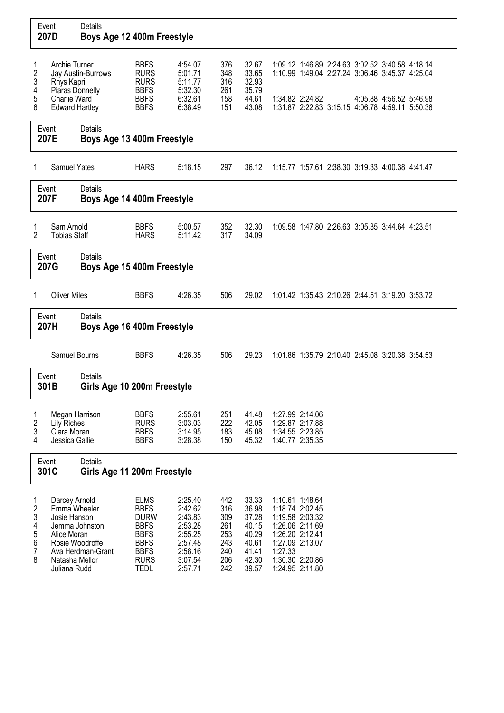| Event<br>207D                        | Details                                                                                                                                                  | Boys Age 12 400m Freestyle                                                                                                          |                                                                                                 |                                                             |                                                                               |                                                                                                                                                                                                     |
|--------------------------------------|----------------------------------------------------------------------------------------------------------------------------------------------------------|-------------------------------------------------------------------------------------------------------------------------------------|-------------------------------------------------------------------------------------------------|-------------------------------------------------------------|-------------------------------------------------------------------------------|-----------------------------------------------------------------------------------------------------------------------------------------------------------------------------------------------------|
| 1<br>2<br>3<br>4<br>5<br>6           | Archie Turner<br>Jay Austin-Burrows<br>Rhys Kapri<br>Piaras Donnelly<br>Charlie Ward<br><b>Edward Hartley</b>                                            | <b>BBFS</b><br><b>RURS</b><br><b>RURS</b><br><b>BBFS</b><br><b>BBFS</b><br><b>BBFS</b>                                              | 4:54.07<br>5:01.71<br>5:11.77<br>5:32.30<br>6:32.61<br>6:38.49                                  | 376<br>348<br>316<br>261<br>158<br>151                      | 32.67<br>33.65<br>32.93<br>35.79<br>44.61<br>43.08                            | 1:09.12 1:46.89 2:24.63 3:02.52 3:40.58 4:18.14<br>1:10.99 1:49.04 2:27.24 3:06.46 3:45.37 4:25.04<br>1:34.82 2:24.82<br>4:05.88 4:56.52 5:46.98<br>1:31.87 2:22.83 3:15.15 4:06.78 4:59.11 5:50.36 |
| Event<br>207E                        | Details                                                                                                                                                  | Boys Age 13 400m Freestyle                                                                                                          |                                                                                                 |                                                             |                                                                               |                                                                                                                                                                                                     |
| 1                                    | <b>Samuel Yates</b>                                                                                                                                      | <b>HARS</b>                                                                                                                         | 5:18.15                                                                                         | 297                                                         | 36.12                                                                         | 1:15.77 1:57.61 2:38.30 3:19.33 4:00.38 4:41.47                                                                                                                                                     |
| Event<br>207F                        | Details                                                                                                                                                  | Boys Age 14 400m Freestyle                                                                                                          |                                                                                                 |                                                             |                                                                               |                                                                                                                                                                                                     |
| 1<br>2                               | Sam Arnold<br><b>Tobias Staff</b>                                                                                                                        | <b>BBFS</b><br><b>HARS</b>                                                                                                          | 5:00.57<br>5:11.42                                                                              | 352<br>317                                                  | 32.30<br>34.09                                                                | 1:09.58 1:47.80 2:26.63 3:05.35 3:44.64 4:23.51                                                                                                                                                     |
| Event<br>207G                        | <b>Details</b>                                                                                                                                           | Boys Age 15 400m Freestyle                                                                                                          |                                                                                                 |                                                             |                                                                               |                                                                                                                                                                                                     |
| 1                                    | <b>Oliver Miles</b>                                                                                                                                      | <b>BBFS</b>                                                                                                                         | 4:26.35                                                                                         | 506                                                         | 29.02                                                                         | 1:01.42 1:35.43 2:10.26 2:44.51 3:19.20 3:53.72                                                                                                                                                     |
| Event<br>207H                        | <b>Details</b>                                                                                                                                           | Boys Age 16 400m Freestyle                                                                                                          |                                                                                                 |                                                             |                                                                               |                                                                                                                                                                                                     |
|                                      | Samuel Bourns                                                                                                                                            | <b>BBFS</b>                                                                                                                         | 4:26.35                                                                                         | 506                                                         | 29.23                                                                         | 1:01.86 1:35.79 2:10.40 2:45.08 3:20.38 3:54.53                                                                                                                                                     |
| Event<br>301B                        | <b>Details</b>                                                                                                                                           | Girls Age 10 200m Freestyle                                                                                                         |                                                                                                 |                                                             |                                                                               |                                                                                                                                                                                                     |
| 1<br>2<br>3<br>4                     | Megan Harrison<br><b>Lily Riches</b><br>Clara Moran<br>Jessica Gallie                                                                                    | <b>BBFS</b><br><b>RURS</b><br><b>BBFS</b><br><b>BBFS</b>                                                                            | 2:55.61<br>3:03.03<br>3:14.95<br>3:28.38                                                        | 251<br>222<br>183<br>150                                    | 41.48<br>42.05<br>45.08<br>45.32                                              | 1:27.99 2:14.06<br>1:29.87 2:17.88<br>1:34.55 2:23.85<br>1:40.77 2:35.35                                                                                                                            |
| Event<br>301C                        | Details                                                                                                                                                  | Girls Age 11 200m Freestyle                                                                                                         |                                                                                                 |                                                             |                                                                               |                                                                                                                                                                                                     |
| 1<br>2<br>3<br>4<br>5<br>6<br>7<br>8 | Darcey Arnold<br>Emma Wheeler<br>Josie Hanson<br>Jemma Johnston<br>Alice Moran<br>Rosie Woodroffe<br>Ava Herdman-Grant<br>Natasha Mellor<br>Juliana Rudd | <b>ELMS</b><br><b>BBFS</b><br><b>DURW</b><br><b>BBFS</b><br><b>BBFS</b><br><b>BBFS</b><br><b>BBFS</b><br><b>RURS</b><br><b>TEDL</b> | 2:25.40<br>2:42.62<br>2:43.83<br>2:53.28<br>2:55.25<br>2:57.48<br>2:58.16<br>3:07.54<br>2:57.71 | 442<br>316<br>309<br>261<br>253<br>243<br>240<br>206<br>242 | 33.33<br>36.98<br>37.28<br>40.15<br>40.29<br>40.61<br>41.41<br>42.30<br>39.57 | 1:10.61 1:48.64<br>1:18.74 2:02.45<br>1:19.58 2:03.32<br>1:26.06 2:11.69<br>1:26.20 2:12.41<br>1:27.09 2:13.07<br>1:27.33<br>1:30.30 2:20.86<br>1:24.95 2:11.80                                     |

 $\overline{\phantom{a}}$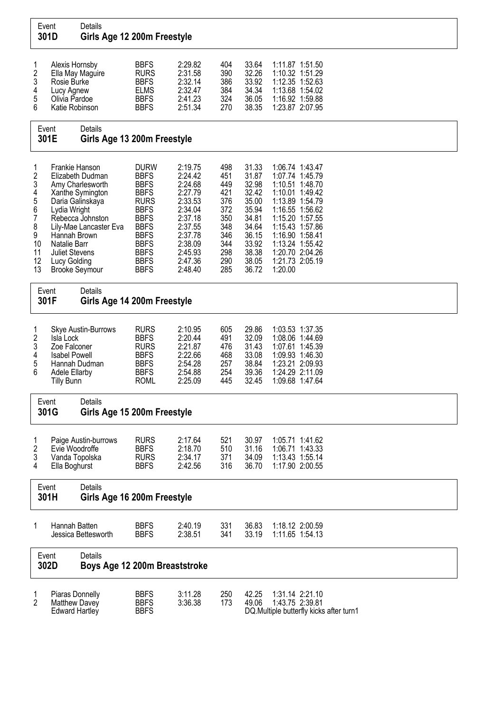| Event<br>301D                                                                  |                                                                                                                                  | Details<br>Girls Age 12 200m Freestyle                                                                                     |                                                                                                                                                                                                 |                                                                                                                                             |                                                                                         |                                                                                                                   |                                                                                                                                                                                                                                             |                                          |
|--------------------------------------------------------------------------------|----------------------------------------------------------------------------------------------------------------------------------|----------------------------------------------------------------------------------------------------------------------------|-------------------------------------------------------------------------------------------------------------------------------------------------------------------------------------------------|---------------------------------------------------------------------------------------------------------------------------------------------|-----------------------------------------------------------------------------------------|-------------------------------------------------------------------------------------------------------------------|---------------------------------------------------------------------------------------------------------------------------------------------------------------------------------------------------------------------------------------------|------------------------------------------|
| 1<br>$\boldsymbol{2}$<br>3<br>4<br>5<br>6                                      | Alexis Hornsby<br>Rosie Burke<br>Lucy Agnew<br>Olivia Pardoe<br>Katie Robinson<br>Event                                          | Ella May Maguire<br>Details                                                                                                | <b>BBFS</b><br><b>RURS</b><br><b>BBFS</b><br><b>ELMS</b><br><b>BBFS</b><br><b>BBFS</b>                                                                                                          | 2:29.82<br>2:31.58<br>2:32.14<br>2:32.47<br>2:41.23<br>2:51.34                                                                              | 404<br>390<br>386<br>384<br>324<br>270                                                  | 33.64<br>32.26<br>33.92<br>34.34<br>36.05<br>38.35                                                                | 1:11.87 1:51.50<br>1:10.32 1:51.29<br>1:12.35 1:52.63<br>1:13.68 1:54.02<br>1:16.92 1:59.88<br>1:23.87 2:07.95                                                                                                                              |                                          |
|                                                                                | 301E                                                                                                                             | Girls Age 13 200m Freestyle                                                                                                |                                                                                                                                                                                                 |                                                                                                                                             |                                                                                         |                                                                                                                   |                                                                                                                                                                                                                                             |                                          |
| 1<br>2<br>3<br>4<br>5<br>6<br>$\overline{7}$<br>8<br>9<br>10<br>11<br>12<br>13 | Frankie Hanson<br>Lydia Wright<br>Hannah Brown<br>Natalie Barr<br><b>Juliet Stevens</b><br>Lucy Golding<br><b>Brooke Seymour</b> | Elizabeth Dudman<br>Amy Charlesworth<br>Xanthe Symington<br>Daria Galinskaya<br>Rebecca Johnston<br>Lily-Mae Lancaster Eva | <b>DURW</b><br><b>BBFS</b><br><b>BBFS</b><br><b>BBFS</b><br><b>RURS</b><br><b>BBFS</b><br><b>BBFS</b><br><b>BBFS</b><br><b>BBFS</b><br><b>BBFS</b><br><b>BBFS</b><br><b>BBFS</b><br><b>BBFS</b> | 2:19.75<br>2:24.42<br>2:24.68<br>2:27.79<br>2:33.53<br>2:34.04<br>2:37.18<br>2:37.55<br>2:37.78<br>2:38.09<br>2:45.93<br>2:47.36<br>2:48.40 | 498<br>451<br>449<br>421<br>376<br>372<br>350<br>348<br>346<br>344<br>298<br>290<br>285 | 31.33<br>31.87<br>32.98<br>32.42<br>35.00<br>35.94<br>34.81<br>34.64<br>36.15<br>33.92<br>38.38<br>38.05<br>36.72 | 1:06.74 1:43.47<br>1:07.74 1:45.79<br>1:10.51 1:48.70<br>1:10.01 1:49.42<br>1:13.89 1:54.79<br>1:16.55 1:56.62<br>1:15.20 1:57.55<br>1:15.43 1:57.86<br>1:16.90 1:58.41<br>1:13.24 1:55.42<br>1:20.70 2:04.26<br>1:21.73 2:05.19<br>1:20.00 |                                          |
| Event                                                                          | 301F                                                                                                                             | Details<br>Girls Age 14 200m Freestyle                                                                                     |                                                                                                                                                                                                 |                                                                                                                                             |                                                                                         |                                                                                                                   |                                                                                                                                                                                                                                             |                                          |
| 1<br>$\overline{\mathbf{c}}$<br>3<br>4<br>5<br>6                               | Isla Lock<br>Zoe Falconer<br><b>Isabel Powell</b><br>Hannah Dudman<br><b>Adele Ellarby</b><br><b>Tilly Bunn</b>                  | Skye Austin-Burrows                                                                                                        | <b>RURS</b><br><b>BBFS</b><br><b>RURS</b><br><b>BBFS</b><br><b>BBFS</b><br><b>BBFS</b><br><b>ROML</b>                                                                                           | 2:10.95<br>2:20.44<br>2:21.87<br>2:22.66<br>2:54.28<br>2:54.88<br>2:25.09                                                                   | 605<br>491<br>476<br>468<br>257<br>254<br>445                                           | 29.86<br>32.09<br>31.43<br>33.08<br>38.84<br>39.36<br>32.45                                                       | 1:03.53 1:37.35<br>1:08.06 1:44.69<br>1:07.61 1:45.39<br>1:09.93 1:46.30<br>1:23.21 2:09.93<br>1:24.29 2:11.09<br>1:09.68 1:47.64                                                                                                           |                                          |
| Event                                                                          | 301G                                                                                                                             | Details<br>Girls Age 15 200m Freestyle                                                                                     |                                                                                                                                                                                                 |                                                                                                                                             |                                                                                         |                                                                                                                   |                                                                                                                                                                                                                                             |                                          |
| 1<br>2<br>3<br>4                                                               | Evie Woodroffe<br>Vanda Topolska<br>Ella Boghurst                                                                                | Paige Austin-burrows                                                                                                       | <b>RURS</b><br><b>BBFS</b><br><b>RURS</b><br><b>BBFS</b>                                                                                                                                        | 2:17.64<br>2:18.70<br>2:34.17<br>2:42.56                                                                                                    | 521<br>510<br>371<br>316                                                                | 30.97<br>31.16<br>34.09<br>36.70                                                                                  | 1:05.71 1:41.62<br>1:06.71 1:43.33<br>1:13.43 1:55.14<br>1:17.90 2:00.55                                                                                                                                                                    |                                          |
| Event                                                                          | 301H                                                                                                                             | <b>Details</b><br>Girls Age 16 200m Freestyle                                                                              |                                                                                                                                                                                                 |                                                                                                                                             |                                                                                         |                                                                                                                   |                                                                                                                                                                                                                                             |                                          |
| 1                                                                              | Hannah Batten                                                                                                                    | Jessica Bettesworth                                                                                                        | <b>BBFS</b><br><b>BBFS</b>                                                                                                                                                                      | 2:40.19<br>2:38.51                                                                                                                          | 331<br>341                                                                              | 36.83<br>33.19                                                                                                    | 1:18.12 2:00.59<br>1:11.65 1:54.13                                                                                                                                                                                                          |                                          |
| Event                                                                          | 302D                                                                                                                             | Details<br>Boys Age 12 200m Breaststroke                                                                                   |                                                                                                                                                                                                 |                                                                                                                                             |                                                                                         |                                                                                                                   |                                                                                                                                                                                                                                             |                                          |
| 1<br>2                                                                         | Piaras Donnelly<br>Matthew Davey<br><b>Edward Hartley</b>                                                                        |                                                                                                                            | <b>BBFS</b><br><b>BBFS</b><br><b>BBFS</b>                                                                                                                                                       | 3:11.28<br>3:36.38                                                                                                                          | 250<br>173                                                                              | 42.25<br>49.06                                                                                                    | 1:31.14 2:21.10<br>1:43.75 2:39.81                                                                                                                                                                                                          | DQ. Multiple butterfly kicks after turn1 |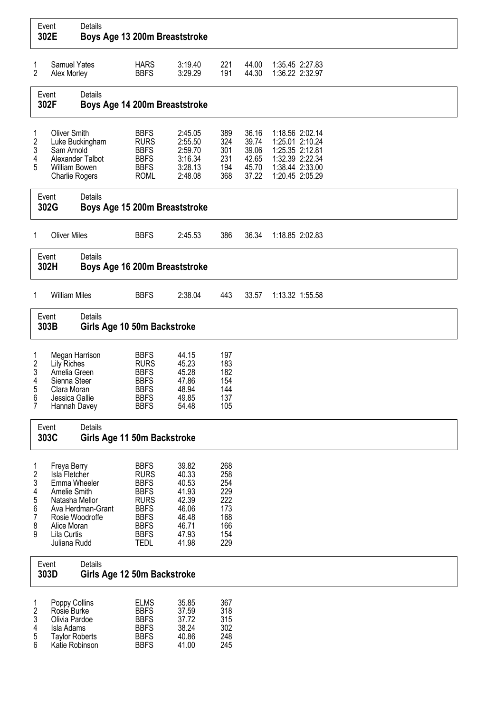| Event<br>302E                                                 |                                                                                                                                                 | Details<br>Boys Age 13 200m Breaststroke |                                                                                                                                                    |                                                                                        |                                                                    |                                                    |                 |                                                                                             |  |  |  |
|---------------------------------------------------------------|-------------------------------------------------------------------------------------------------------------------------------------------------|------------------------------------------|----------------------------------------------------------------------------------------------------------------------------------------------------|----------------------------------------------------------------------------------------|--------------------------------------------------------------------|----------------------------------------------------|-----------------|---------------------------------------------------------------------------------------------|--|--|--|
| 1<br>$\overline{2}$                                           | <b>Samuel Yates</b><br>Alex Morley                                                                                                              |                                          | <b>HARS</b><br><b>BBFS</b>                                                                                                                         | 3:19.40<br>3:29.29                                                                     | 221<br>191                                                         | 44.00<br>44.30                                     |                 | 1:35.45 2:27.83<br>1:36.22 2:32.97                                                          |  |  |  |
|                                                               | Event<br>302F                                                                                                                                   | Details<br>Boys Age 14 200m Breaststroke |                                                                                                                                                    |                                                                                        |                                                                    |                                                    |                 |                                                                                             |  |  |  |
| 1<br>$\frac{2}{3}$<br>4<br>5                                  | <b>Oliver Smith</b><br>Sam Arnold<br>William Bowen<br><b>Charlie Rogers</b>                                                                     | Luke Buckingham<br>Alexander Talbot      | <b>BBFS</b><br><b>RURS</b><br><b>BBFS</b><br><b>BBFS</b><br><b>BBFS</b><br><b>ROML</b>                                                             | 2:45.05<br>2:55.50<br>2:59.70<br>3:16.34<br>3:28.13<br>2:48.08                         | 389<br>324<br>301<br>231<br>194<br>368                             | 36.16<br>39.74<br>39.06<br>42.65<br>45.70<br>37.22 | 1:25.35 2:12.81 | 1:18.56 2:02.14<br>1:25.01 2:10.24<br>1:32.39 2:22.34<br>1:38.44 2:33.00<br>1:20.45 2:05.29 |  |  |  |
|                                                               | Event<br>302G                                                                                                                                   | Details<br>Boys Age 15 200m Breaststroke |                                                                                                                                                    |                                                                                        |                                                                    |                                                    |                 |                                                                                             |  |  |  |
| 1                                                             | <b>Oliver Miles</b>                                                                                                                             |                                          | <b>BBFS</b>                                                                                                                                        | 2:45.53                                                                                | 386                                                                | 36.34                                              |                 | 1:18.85 2:02.83                                                                             |  |  |  |
|                                                               | Event<br>302H                                                                                                                                   | Details<br>Boys Age 16 200m Breaststroke |                                                                                                                                                    |                                                                                        |                                                                    |                                                    |                 |                                                                                             |  |  |  |
| 1                                                             | <b>William Miles</b>                                                                                                                            |                                          | <b>BBFS</b>                                                                                                                                        | 2:38.04                                                                                | 443                                                                | 33.57                                              |                 | 1:13.32 1:55.58                                                                             |  |  |  |
|                                                               | Event<br>303B                                                                                                                                   | Details<br>Girls Age 10 50m Backstroke   |                                                                                                                                                    |                                                                                        |                                                                    |                                                    |                 |                                                                                             |  |  |  |
| 1<br>$\boldsymbol{2}$<br>3<br>4<br>5<br>6<br>$\overline{7}$   | Megan Harrison<br><b>Lily Riches</b><br>Amelia Green<br>Sienna Steer<br>Clara Moran<br>Jessica Gallie<br>Hannah Davey                           |                                          | <b>BBFS</b><br><b>RURS</b><br><b>BBFS</b><br><b>BBFS</b><br><b>BBFS</b><br><b>BBFS</b><br><b>BBFS</b>                                              | 44.15<br>45.23<br>45.28<br>47.86<br>48.94<br>49.85<br>54.48                            | 197<br>183<br>182<br>154<br>144<br>137<br>105                      |                                                    |                 |                                                                                             |  |  |  |
|                                                               | Event<br>303C                                                                                                                                   | Details<br>Girls Age 11 50m Backstroke   |                                                                                                                                                    |                                                                                        |                                                                    |                                                    |                 |                                                                                             |  |  |  |
| 1<br>$\frac{2}{3}$<br>4<br>5<br>6<br>$\overline{7}$<br>8<br>9 | Freya Berry<br>Isla Fletcher<br>Emma Wheeler<br>Amelie Smith<br>Natasha Mellor<br>Rosie Woodroffe<br>Alice Moran<br>Lila Curtis<br>Juliana Rudd | Ava Herdman-Grant                        | <b>BBFS</b><br><b>RURS</b><br><b>BBFS</b><br><b>BBFS</b><br><b>RURS</b><br><b>BBFS</b><br><b>BBFS</b><br><b>BBFS</b><br><b>BBFS</b><br><b>TEDL</b> | 39.82<br>40.33<br>40.53<br>41.93<br>42.39<br>46.06<br>46.48<br>46.71<br>47.93<br>41.98 | 268<br>258<br>254<br>229<br>222<br>173<br>168<br>166<br>154<br>229 |                                                    |                 |                                                                                             |  |  |  |
|                                                               | Event<br>303D                                                                                                                                   | Details<br>Girls Age 12 50m Backstroke   |                                                                                                                                                    |                                                                                        |                                                                    |                                                    |                 |                                                                                             |  |  |  |
| 1<br>$\overline{\mathbf{c}}$<br>3<br>4<br>5<br>6              | Poppy Collins<br>Rosie Burke<br>Olivia Pardoe<br>Isla Adams<br><b>Taylor Roberts</b><br>Katie Robinson                                          |                                          | <b>ELMS</b><br><b>BBFS</b><br><b>BBFS</b><br><b>BBFS</b><br><b>BBFS</b><br><b>BBFS</b>                                                             | 35.85<br>37.59<br>37.72<br>38.24<br>40.86<br>41.00                                     | 367<br>318<br>315<br>302<br>248<br>245                             |                                                    |                 |                                                                                             |  |  |  |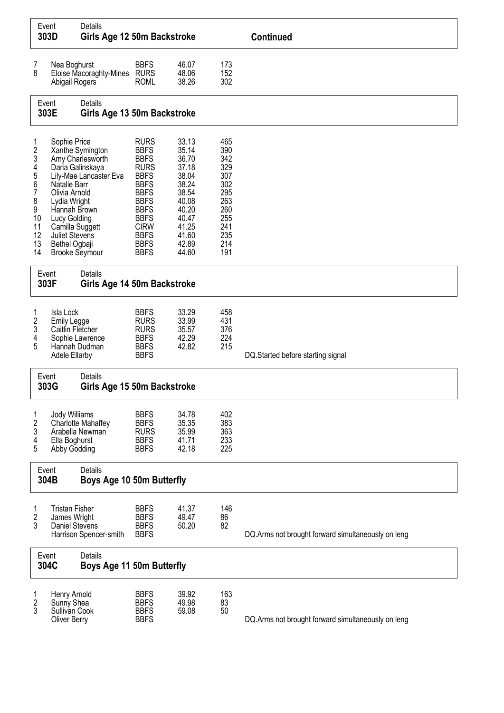|                                                                         | Event<br>303D                                                                                                                                                                | Details<br>Girls Age 12 50m Backstroke                                             |                                                                                                                                                                                                                |                                                                                                                            |                                                                                                | <b>Continued</b>                                   |
|-------------------------------------------------------------------------|------------------------------------------------------------------------------------------------------------------------------------------------------------------------------|------------------------------------------------------------------------------------|----------------------------------------------------------------------------------------------------------------------------------------------------------------------------------------------------------------|----------------------------------------------------------------------------------------------------------------------------|------------------------------------------------------------------------------------------------|----------------------------------------------------|
| 7<br>8                                                                  | Nea Boghurst<br>Abigail Rogers                                                                                                                                               | Eloise Macoraghty-Mines RURS                                                       | <b>BBFS</b><br><b>ROML</b>                                                                                                                                                                                     | 46.07<br>48.06<br>38.26                                                                                                    | 173<br>152<br>302                                                                              |                                                    |
|                                                                         | Event<br>303E                                                                                                                                                                | <b>Details</b><br>Girls Age 13 50m Backstroke                                      |                                                                                                                                                                                                                |                                                                                                                            |                                                                                                |                                                    |
| 1<br>2<br>3<br>4<br>5<br>6<br>7<br>8<br>9<br>10<br>11<br>12<br>13<br>14 | Sophie Price<br>Natalie Barr<br>Olivia Arnold<br>Lydia Wright<br>Hannah Brown<br>Lucy Golding<br>Camilla Suggett<br>Juliet Stevens<br>Bethel Ogbaji<br><b>Brooke Seymour</b> | Xanthe Symington<br>Amy Charlesworth<br>Daria Galinskaya<br>Lily-Mae Lancaster Eva | <b>RURS</b><br><b>BBFS</b><br><b>BBFS</b><br><b>RURS</b><br><b>BBFS</b><br><b>BBFS</b><br><b>BBFS</b><br><b>BBFS</b><br><b>BBFS</b><br><b>BBFS</b><br><b>CIRW</b><br><b>BBFS</b><br><b>BBFS</b><br><b>BBFS</b> | 33.13<br>35.14<br>36.70<br>37.18<br>38.04<br>38.24<br>38.54<br>40.08<br>40.20<br>40.47<br>41.25<br>41.60<br>42.89<br>44.60 | 465<br>390<br>342<br>329<br>307<br>302<br>295<br>263<br>260<br>255<br>241<br>235<br>214<br>191 |                                                    |
|                                                                         | Event<br>303F                                                                                                                                                                | <b>Details</b><br>Girls Age 14 50m Backstroke                                      |                                                                                                                                                                                                                |                                                                                                                            |                                                                                                |                                                    |
| 1<br>2<br>3<br>4<br>5                                                   | Isla Lock<br>Emily Legge<br>Caitlin Fletcher<br>Adele Ellarby                                                                                                                | Sophie Lawrence<br>Hannah Dudman                                                   | <b>BBFS</b><br><b>RURS</b><br><b>RURS</b><br><b>BBFS</b><br><b>BBFS</b><br><b>BBFS</b>                                                                                                                         | 33.29<br>33.99<br>35.57<br>42.29<br>42.82                                                                                  | 458<br>431<br>376<br>224<br>215                                                                | DQ.Started before starting signal                  |
|                                                                         | Event<br>303G                                                                                                                                                                | Details<br>Girls Age 15 50m Backstroke                                             |                                                                                                                                                                                                                |                                                                                                                            |                                                                                                |                                                    |
| 1<br>$\overline{\mathbf{c}}$<br>3<br>4<br>5                             | Jody Williams<br>Ella Boghurst<br>Abby Godding                                                                                                                               | Charlotte Mahaffey<br>Arabella Newman                                              | <b>BBFS</b><br><b>BBFS</b><br><b>RURS</b><br><b>BBFS</b><br><b>BBFS</b>                                                                                                                                        | 34.78<br>35.35<br>35.99<br>41.71<br>42.18                                                                                  | 402<br>383<br>363<br>233<br>225                                                                |                                                    |
|                                                                         | Event<br>304B                                                                                                                                                                | Details<br>Boys Age 10 50m Butterfly                                               |                                                                                                                                                                                                                |                                                                                                                            |                                                                                                |                                                    |
| 1<br>2<br>3                                                             | <b>Tristan Fisher</b><br>James Wright<br>Daniel Stevens                                                                                                                      | Harrison Spencer-smith                                                             | <b>BBFS</b><br><b>BBFS</b><br><b>BBFS</b><br><b>BBFS</b>                                                                                                                                                       | 41.37<br>49.47<br>50.20                                                                                                    | 146<br>86<br>82                                                                                | DQ.Arms not brought forward simultaneously on leng |
|                                                                         | Event<br>304C                                                                                                                                                                | <b>Details</b><br>Boys Age 11 50m Butterfly                                        |                                                                                                                                                                                                                |                                                                                                                            |                                                                                                |                                                    |
| 1<br>2<br>3                                                             | Henry Arnold<br>Sunny Shea<br>Sullivan Cook<br><b>Oliver Berry</b>                                                                                                           |                                                                                    | <b>BBFS</b><br><b>BBFS</b><br><b>BBFS</b><br><b>BBFS</b>                                                                                                                                                       | 39.92<br>49.98<br>59.08                                                                                                    | 163<br>83<br>50                                                                                | DQ.Arms not brought forward simultaneously on leng |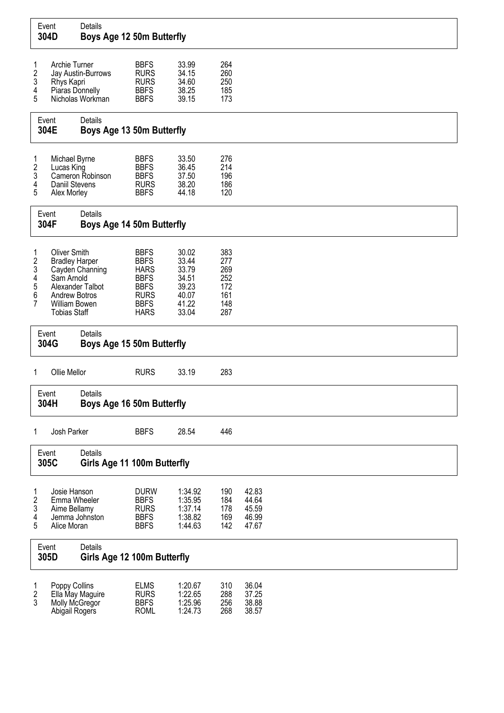| Event<br>304D                               |                                                                                                                            | Details<br>Boys Age 12 50m Butterfly   |                                                                                                                      |                                                                      |                                                      |                                           |  |  |  |
|---------------------------------------------|----------------------------------------------------------------------------------------------------------------------------|----------------------------------------|----------------------------------------------------------------------------------------------------------------------|----------------------------------------------------------------------|------------------------------------------------------|-------------------------------------------|--|--|--|
| 1<br>$\frac{2}{3}$<br>4<br>5                | Archie Turner<br>Rhys Kapri<br>Piaras Donnelly                                                                             | Jay Austin-Burrows<br>Nicholas Workman | <b>BBFS</b><br><b>RURS</b><br><b>RURS</b><br><b>BBFS</b><br><b>BBFS</b>                                              | 33.99<br>34.15<br>34.60<br>38.25<br>39.15                            | 264<br>260<br>250<br>185<br>173                      |                                           |  |  |  |
|                                             | Event<br>304E                                                                                                              | Details<br>Boys Age 13 50m Butterfly   |                                                                                                                      |                                                                      |                                                      |                                           |  |  |  |
| 1<br>$\boldsymbol{2}$<br>3<br>4<br>5        | Michael Byrne<br>Lucas King<br>Daniil Stevens<br>Alex Morley                                                               | Cameron Robinson                       | <b>BBFS</b><br><b>BBFS</b><br><b>BBFS</b><br><b>RURS</b><br><b>BBFS</b>                                              | 33.50<br>36.45<br>37.50<br>38.20<br>44.18                            | 276<br>214<br>196<br>186<br>120                      |                                           |  |  |  |
|                                             | Event<br>304F                                                                                                              | Details<br>Boys Age 14 50m Butterfly   |                                                                                                                      |                                                                      |                                                      |                                           |  |  |  |
| 1<br>$\frac{2}{3}$<br>4<br>5<br>6<br>7      | <b>Oliver Smith</b><br><b>Bradley Harper</b><br>Sam Arnold<br><b>Andrew Botros</b><br>William Bowen<br><b>Tobias Staff</b> | Cayden Channing<br>Alexander Talbot    | <b>BBFS</b><br><b>BBFS</b><br><b>HARS</b><br><b>BBFS</b><br><b>BBFS</b><br><b>RURS</b><br><b>BBFS</b><br><b>HARS</b> | 30.02<br>33.44<br>33.79<br>34.51<br>39.23<br>40.07<br>41.22<br>33.04 | 383<br>277<br>269<br>252<br>172<br>161<br>148<br>287 |                                           |  |  |  |
|                                             | Event<br>304G                                                                                                              | Details<br>Boys Age 15 50m Butterfly   |                                                                                                                      |                                                                      |                                                      |                                           |  |  |  |
| 1                                           | Ollie Mellor                                                                                                               |                                        | <b>RURS</b>                                                                                                          | 33.19                                                                | 283                                                  |                                           |  |  |  |
|                                             | Event<br>304H                                                                                                              | Details<br>Boys Age 16 50m Butterfly   |                                                                                                                      |                                                                      |                                                      |                                           |  |  |  |
| 1                                           | Josh Parker                                                                                                                |                                        | <b>BBFS</b>                                                                                                          | 28.54                                                                | 446                                                  |                                           |  |  |  |
|                                             | Event<br>305C                                                                                                              | Details<br>Girls Age 11 100m Butterfly |                                                                                                                      |                                                                      |                                                      |                                           |  |  |  |
| 1<br>$\overline{\mathbf{c}}$<br>3<br>4<br>5 | Josie Hanson<br>Emma Wheeler<br>Aime Bellamy<br>Alice Moran                                                                | Jemma Johnston                         | <b>DURW</b><br><b>BBFS</b><br><b>RURS</b><br><b>BBFS</b><br><b>BBFS</b>                                              | 1:34.92<br>1:35.95<br>1:37.14<br>1:38.82<br>1:44.63                  | 190<br>184<br>178<br>169<br>142                      | 42.83<br>44.64<br>45.59<br>46.99<br>47.67 |  |  |  |
|                                             | Event<br>305D                                                                                                              | Details<br>Girls Age 12 100m Butterfly |                                                                                                                      |                                                                      |                                                      |                                           |  |  |  |
| 1<br>$\sqrt{2}$<br>3                        | Poppy Collins<br>Molly McGregor<br>Abigail Rogers                                                                          | Ella May Maguire                       | <b>ELMS</b><br><b>RURS</b><br><b>BBFS</b><br><b>ROML</b>                                                             | 1:20.67<br>1:22.65<br>1:25.96<br>1:24.73                             | 310<br>288<br>256<br>268                             | 36.04<br>37.25<br>38.88<br>38.57          |  |  |  |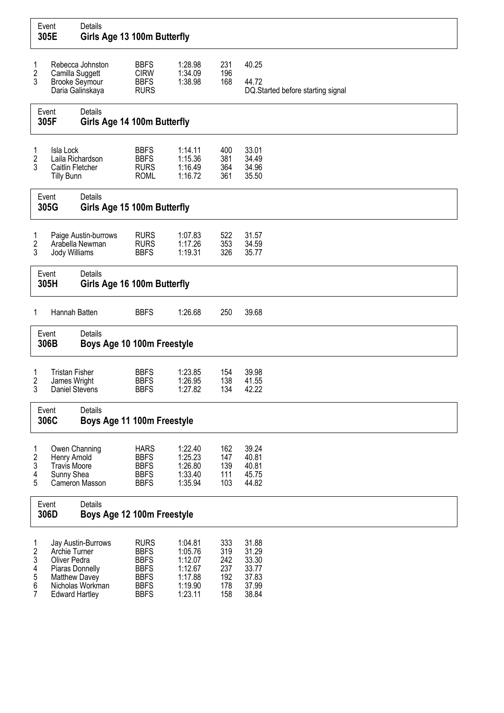| Event<br>305E                                     |                                                                                            | Details<br>Girls Age 13 100m Butterfly  |                                                                                                       |                                                                           |                                               |                                                             |
|---------------------------------------------------|--------------------------------------------------------------------------------------------|-----------------------------------------|-------------------------------------------------------------------------------------------------------|---------------------------------------------------------------------------|-----------------------------------------------|-------------------------------------------------------------|
| 1<br>2                                            | Camilla Suggett                                                                            | Rebecca Johnston                        | <b>BBFS</b><br><b>CIRW</b>                                                                            | 1:28.98<br>1:34.09                                                        | 231<br>196                                    | 40.25                                                       |
| 3                                                 | <b>Brooke Seymour</b>                                                                      | Daria Galinskaya                        | <b>BBFS</b><br><b>RURS</b>                                                                            | 1:38.98                                                                   | 168                                           | 44.72<br>DQ.Started before starting signal                  |
|                                                   | Event<br>305F                                                                              | Details<br>Girls Age 14 100m Butterfly  |                                                                                                       |                                                                           |                                               |                                                             |
| 1<br>$\overline{c}$<br>3                          | Isla Lock<br>Laila Richardson<br>Caitlin Fletcher<br><b>Tilly Bunn</b>                     |                                         | <b>BBFS</b><br><b>BBFS</b><br><b>RURS</b><br><b>ROML</b>                                              | 1:14.11<br>1:15.36<br>1:16.49<br>1:16.72                                  | 400<br>381<br>364<br>361                      | 33.01<br>34.49<br>34.96<br>35.50                            |
|                                                   | Event<br>305G                                                                              | Details<br>Girls Age 15 100m Butterfly  |                                                                                                       |                                                                           |                                               |                                                             |
| 1<br>$\overline{\mathbf{c}}$<br>3                 | Jody Williams                                                                              | Paige Austin-burrows<br>Arabella Newman | <b>RURS</b><br><b>RURS</b><br><b>BBFS</b>                                                             | 1:07.83<br>1:17.26<br>1:19.31                                             | 522<br>353<br>326                             | 31.57<br>34.59<br>35.77                                     |
|                                                   | Event<br>305H                                                                              | Details<br>Girls Age 16 100m Butterfly  |                                                                                                       |                                                                           |                                               |                                                             |
| 1                                                 | Hannah Batten                                                                              |                                         | <b>BBFS</b>                                                                                           | 1:26.68                                                                   | 250                                           | 39.68                                                       |
|                                                   | Event<br>306B                                                                              | Details<br>Boys Age 10 100m Freestyle   |                                                                                                       |                                                                           |                                               |                                                             |
| 1<br>2<br>3                                       | <b>Tristan Fisher</b><br>James Wright<br>Daniel Stevens                                    |                                         | <b>BBFS</b><br><b>BBFS</b><br><b>BBFS</b>                                                             | 1:23.85<br>1:26.95<br>1:27.82                                             | 154<br>138<br>134                             | 39.98<br>41.55<br>42.22                                     |
|                                                   | Event<br>306C                                                                              | Details<br>Boys Age 11 100m Freestyle   |                                                                                                       |                                                                           |                                               |                                                             |
| 1<br>$\overline{\mathbf{c}}$<br>3<br>4<br>5       | Owen Channing<br>Henry Arnold<br><b>Travis Moore</b><br>Sunny Shea                         | Cameron Masson                          | <b>HARS</b><br><b>BBFS</b><br><b>BBFS</b><br><b>BBFS</b><br><b>BBFS</b>                               | 1:22.40<br>1:25.23<br>1:26.80<br>1:33.40<br>1:35.94                       | 162<br>147<br>139<br>111<br>103               | 39.24<br>40.81<br>40.81<br>45.75<br>44.82                   |
|                                                   | Event<br>306D                                                                              | Details<br>Boys Age 12 100m Freestyle   |                                                                                                       |                                                                           |                                               |                                                             |
| 1<br>$\sqrt{2}$<br>$\sqrt{3}$<br>4<br>5<br>6<br>7 | Archie Turner<br>Oliver Pedra<br>Piaras Donnelly<br>Matthew Davey<br><b>Edward Hartley</b> | Jay Austin-Burrows<br>Nicholas Workman  | <b>RURS</b><br><b>BBFS</b><br><b>BBFS</b><br><b>BBFS</b><br><b>BBFS</b><br><b>BBFS</b><br><b>BBFS</b> | 1:04.81<br>1:05.76<br>1:12.07<br>1:12.67<br>1:17.88<br>1:19.90<br>1:23.11 | 333<br>319<br>242<br>237<br>192<br>178<br>158 | 31.88<br>31.29<br>33.30<br>33.77<br>37.83<br>37.99<br>38.84 |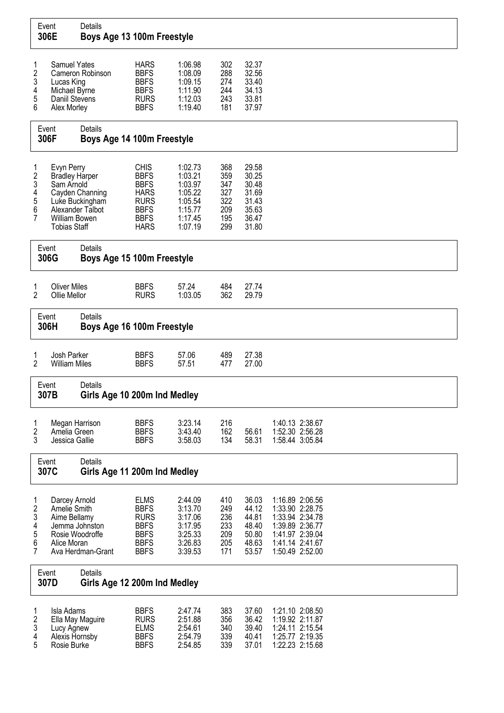| Event<br>306E                                                                                            |                                                                                                  | Details<br>Boys Age 13 100m Freestyle                  |                                                                                                                      |                                                                                      |                                                      |                                                                      |                                                                                                                                   |
|----------------------------------------------------------------------------------------------------------|--------------------------------------------------------------------------------------------------|--------------------------------------------------------|----------------------------------------------------------------------------------------------------------------------|--------------------------------------------------------------------------------------|------------------------------------------------------|----------------------------------------------------------------------|-----------------------------------------------------------------------------------------------------------------------------------|
| 1<br>$\boldsymbol{2}$<br>3<br>4<br>5<br>6                                                                | <b>Samuel Yates</b><br>Lucas King<br>Michael Byrne<br>Daniil Stevens<br>Alex Morley              | Cameron Robinson                                       | <b>HARS</b><br><b>BBFS</b><br><b>BBFS</b><br><b>BBFS</b><br><b>RURS</b><br><b>BBFS</b>                               | 1:06.98<br>1:08.09<br>1:09.15<br>1:11.90<br>1:12.03<br>1:19.40                       | 302<br>288<br>274<br>244<br>243<br>181               | 32.37<br>32.56<br>33.40<br>34.13<br>33.81<br>37.97                   |                                                                                                                                   |
|                                                                                                          | Event<br>306F                                                                                    | Details<br>Boys Age 14 100m Freestyle                  |                                                                                                                      |                                                                                      |                                                      |                                                                      |                                                                                                                                   |
| 1<br>$\boldsymbol{2}$<br>3<br>4<br>5<br>6<br>$\overline{7}$                                              | Evyn Perry<br><b>Bradley Harper</b><br>Sam Arnold<br><b>William Bowen</b><br><b>Tobias Staff</b> | Cayden Channing<br>Luke Buckingham<br>Alexander Talbot | <b>CHIS</b><br><b>BBFS</b><br><b>BBFS</b><br><b>HARS</b><br><b>RURS</b><br><b>BBFS</b><br><b>BBFS</b><br><b>HARS</b> | 1:02.73<br>1:03.21<br>1:03.97<br>1:05.22<br>1:05.54<br>1:15.77<br>1:17.45<br>1:07.19 | 368<br>359<br>347<br>327<br>322<br>209<br>195<br>299 | 29.58<br>30.25<br>30.48<br>31.69<br>31.43<br>35.63<br>36.47<br>31.80 |                                                                                                                                   |
|                                                                                                          | Event<br>306G                                                                                    | Details<br>Boys Age 15 100m Freestyle                  |                                                                                                                      |                                                                                      |                                                      |                                                                      |                                                                                                                                   |
| 1<br>2                                                                                                   | <b>Oliver Miles</b><br>Ollie Mellor                                                              |                                                        | <b>BBFS</b><br><b>RURS</b>                                                                                           | 57.24<br>1:03.05                                                                     | 484<br>362                                           | 27.74<br>29.79                                                       |                                                                                                                                   |
|                                                                                                          | Event<br>306H                                                                                    | Details<br>Boys Age 16 100m Freestyle                  |                                                                                                                      |                                                                                      |                                                      |                                                                      |                                                                                                                                   |
| 1<br>2                                                                                                   | Josh Parker<br><b>William Miles</b>                                                              |                                                        | <b>BBFS</b><br><b>BBFS</b>                                                                                           | 57.06<br>57.51                                                                       | 489<br>477                                           | 27.38<br>27.00                                                       |                                                                                                                                   |
|                                                                                                          | Event<br>307B                                                                                    | Details<br>Girls Age 10 200m Ind Medley                |                                                                                                                      |                                                                                      |                                                      |                                                                      |                                                                                                                                   |
| 1<br>$\overline{c}$<br>3                                                                                 | Megan Harrison<br>Amelia Green<br>Jessica Gallie                                                 |                                                        | <b>BBFS</b><br><b>BBFS</b><br><b>BBFS</b>                                                                            | 3:23.14<br>3:43.40<br>3:58.03                                                        | 216<br>162<br>134                                    | 56.61<br>58.31                                                       | 1:40.13 2:38.67<br>1:52.30 2:56.28<br>1:58.44 3:05.84                                                                             |
|                                                                                                          | Event<br>307C                                                                                    | Details<br>Girls Age 11 200m Ind Medley                |                                                                                                                      |                                                                                      |                                                      |                                                                      |                                                                                                                                   |
| $\mathbf{1}$<br>2<br>3<br>4<br>5<br>6<br>7                                                               | Darcey Arnold<br>Amelie Smith<br>Aime Bellamy<br>Alice Moran                                     | Jemma Johnston<br>Rosie Woodroffe<br>Ava Herdman-Grant | <b>ELMS</b><br><b>BBFS</b><br><b>RURS</b><br><b>BBFS</b><br><b>BBFS</b><br><b>BBFS</b><br><b>BBFS</b>                | 2:44.09<br>3:13.70<br>3:17.06<br>3:17.95<br>3:25.33<br>3:26.83<br>3:39.53            | 410<br>249<br>236<br>233<br>209<br>205<br>171        | 36.03<br>44.12<br>44.81<br>48.40<br>50.80<br>48.63<br>53.57          | 1:16.89 2:06.56<br>1:33.90 2:28.75<br>1:33.94 2:34.78<br>1:39.89 2:36.77<br>1:41.97 2:39.04<br>1:41.14 2:41.67<br>1:50.49 2:52.00 |
|                                                                                                          | Event<br>307D                                                                                    | Details<br>Girls Age 12 200m Ind Medley                |                                                                                                                      |                                                                                      |                                                      |                                                                      |                                                                                                                                   |
| 1<br>Isla Adams<br>$\overline{\mathbf{c}}$<br>3<br>Lucy Agnew<br>4<br>Alexis Hornsby<br>5<br>Rosie Burke |                                                                                                  | Ella May Maguire                                       | <b>BBFS</b><br><b>RURS</b><br><b>ELMS</b><br><b>BBFS</b><br><b>BBFS</b>                                              | 2:47.74<br>2:51.88<br>2:54.61<br>2:54.79<br>2:54.85                                  | 383<br>356<br>340<br>339<br>339                      | 37.60<br>36.42<br>39.40<br>40.41<br>37.01                            | 1:21.10 2:08.50<br>1:19.92 2:11.87<br>1:24.11 2:15.54<br>1:25.77 2:19.35<br>1:22.23 2:15.68                                       |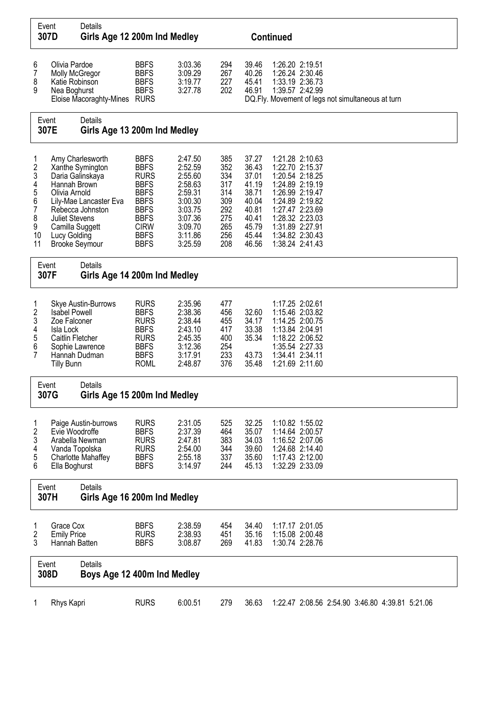| Event<br>307D                                                             |                                                                                            | Details<br>Girls Age 12 200m Ind Medley                                                                                              |                                                                                                                                                                   |                                                                                                                       |                                                                           |                                                                                                 | <b>Continued</b>                                                                                                                                                                                              |
|---------------------------------------------------------------------------|--------------------------------------------------------------------------------------------|--------------------------------------------------------------------------------------------------------------------------------------|-------------------------------------------------------------------------------------------------------------------------------------------------------------------|-----------------------------------------------------------------------------------------------------------------------|---------------------------------------------------------------------------|-------------------------------------------------------------------------------------------------|---------------------------------------------------------------------------------------------------------------------------------------------------------------------------------------------------------------|
| 6<br>7<br>8<br>9                                                          | Olivia Pardoe<br>Molly McGregor<br>Katie Robinson<br>Nea Boghurst                          | <b>BBFS</b><br>3:03.36<br><b>BBFS</b><br>3:09.29<br><b>BBFS</b><br>3:19.77<br><b>BBFS</b><br>3:27.78<br>Eloise Macoraghty-Mines RURS |                                                                                                                                                                   |                                                                                                                       | 294<br>267<br>227<br>202                                                  | 39.46<br>40.26<br>45.41<br>46.91                                                                | 1:26.20 2:19.51<br>1:26.24 2:30.46<br>1:33.19 2:36.73<br>1:39.57 2:42.99<br>DQ. Fly. Movement of legs not simultaneous at turn                                                                                |
| Event<br>307E                                                             |                                                                                            | Details<br>Girls Age 13 200m Ind Medley                                                                                              |                                                                                                                                                                   |                                                                                                                       |                                                                           |                                                                                                 |                                                                                                                                                                                                               |
| 1<br>$\frac{2}{3}$<br>4<br>5<br>6<br>$\overline{7}$<br>8<br>9<br>10<br>11 | Hannah Brown<br>Olivia Arnold<br><b>Juliet Stevens</b><br>Camilla Suggett<br>Lucy Golding  | Amy Charlesworth<br>Xanthe Symington<br>Daria Galinskaya<br>Lily-Mae Lancaster Eva<br>Rebecca Johnston<br><b>Brooke Seymour</b>      | <b>BBFS</b><br><b>BBFS</b><br><b>RURS</b><br><b>BBFS</b><br><b>BBFS</b><br><b>BBFS</b><br><b>BBFS</b><br><b>BBFS</b><br><b>CIRW</b><br><b>BBFS</b><br><b>BBFS</b> | 2:47.50<br>2:52.59<br>2:55.60<br>2:58.63<br>2:59.31<br>3:00.30<br>3:03.75<br>3:07.36<br>3:09.70<br>3:11.86<br>3:25.59 | 385<br>352<br>334<br>317<br>314<br>309<br>292<br>275<br>265<br>256<br>208 | 37.27<br>36.43<br>37.01<br>41.19<br>38.71<br>40.04<br>40.81<br>40.41<br>45.79<br>45.44<br>46.56 | 1:21.28 2:10.63<br>1:22.70 2:15.37<br>1:20.54 2:18.25<br>1:24.89 2:19.19<br>1:26.99 2:19.47<br>1:24.89 2:19.82<br>1:27.47 2:23.69<br>1:28.32 2:23.03<br>1:31.89 2:27.91<br>1:34.82 2:30.43<br>1:38.24 2:41.43 |
|                                                                           | Event<br>307F                                                                              | Details<br>Girls Age 14 200m Ind Medley                                                                                              |                                                                                                                                                                   |                                                                                                                       |                                                                           |                                                                                                 |                                                                                                                                                                                                               |
| 1<br>2<br>3<br>4<br>5<br>6<br>7                                           | <b>Isabel Powell</b><br>Zoe Falconer<br>Isla Lock<br>Caitlin Fletcher<br><b>Tilly Bunn</b> | Skye Austin-Burrows<br>Sophie Lawrence<br>Hannah Dudman                                                                              | <b>RURS</b><br><b>BBFS</b><br><b>RURS</b><br><b>BBFS</b><br><b>RURS</b><br><b>BBFS</b><br><b>BBFS</b><br><b>ROML</b>                                              | 2:35.96<br>2:38.36<br>2:38.44<br>2:43.10<br>2:45.35<br>3:12.36<br>3:17.91<br>2:48.87                                  | 477<br>456<br>455<br>417<br>400<br>254<br>233<br>376                      | 32.60<br>34.17<br>33.38<br>35.34<br>43.73<br>35.48                                              | 1:17.25 2:02.61<br>1:15.46 2:03.82<br>1:14.25 2:00.75<br>1:13.84 2:04.91<br>1:18.22 2:06.52<br>1:35.54 2:27.33<br>1:34.41 2:34.11<br>1:21.69 2:11.60                                                          |
|                                                                           | Event<br>307G                                                                              | <b>Details</b><br>Girls Age 15 200m Ind Medley                                                                                       |                                                                                                                                                                   |                                                                                                                       |                                                                           |                                                                                                 |                                                                                                                                                                                                               |
| 1<br>2<br>3<br>4<br>5<br>6                                                | Evie Woodroffe<br>Vanda Topolska<br>Ella Boghurst                                          | Paige Austin-burrows<br>Arabella Newman<br>Charlotte Mahaffey                                                                        | <b>RURS</b><br><b>BBFS</b><br><b>RURS</b><br><b>RURS</b><br><b>BBFS</b><br><b>BBFS</b>                                                                            | 2:31.05<br>2:37.39<br>2:47.81<br>2:54.00<br>2:55.18<br>3:14.97                                                        | 525<br>464<br>383<br>344<br>337<br>244                                    | 32.25<br>35.07<br>34.03<br>39.60<br>35.60<br>45.13                                              | 1:10.82 1:55.02<br>1:14.64 2:00.57<br>1:16.52 2:07.06<br>1:24.68 2:14.40<br>1:17.43 2:12.00<br>1:32.29 2:33.09                                                                                                |
|                                                                           | Event<br>307H                                                                              | Details<br>Girls Age 16 200m Ind Medley                                                                                              |                                                                                                                                                                   |                                                                                                                       |                                                                           |                                                                                                 |                                                                                                                                                                                                               |
| 1<br>2<br>3                                                               | Grace Cox<br><b>Emily Price</b><br>Hannah Batten                                           |                                                                                                                                      | <b>BBFS</b><br><b>RURS</b><br><b>BBFS</b>                                                                                                                         | 2:38.59<br>2:38.93<br>3:08.87                                                                                         | 454<br>451<br>269                                                         | 34.40<br>35.16<br>41.83                                                                         | 1:17.17 2:01.05<br>1:15.08 2:00.48<br>1:30.74 2:28.76                                                                                                                                                         |
|                                                                           | Event<br>308D                                                                              | Details<br>Boys Age 12 400m Ind Medley                                                                                               |                                                                                                                                                                   |                                                                                                                       |                                                                           |                                                                                                 |                                                                                                                                                                                                               |
| 1                                                                         | Rhys Kapri                                                                                 |                                                                                                                                      | <b>RURS</b>                                                                                                                                                       | 6:00.51                                                                                                               | 279                                                                       | 36.63                                                                                           | 1:22.47 2:08.56 2:54.90 3:46.80 4:39.81 5:21.06                                                                                                                                                               |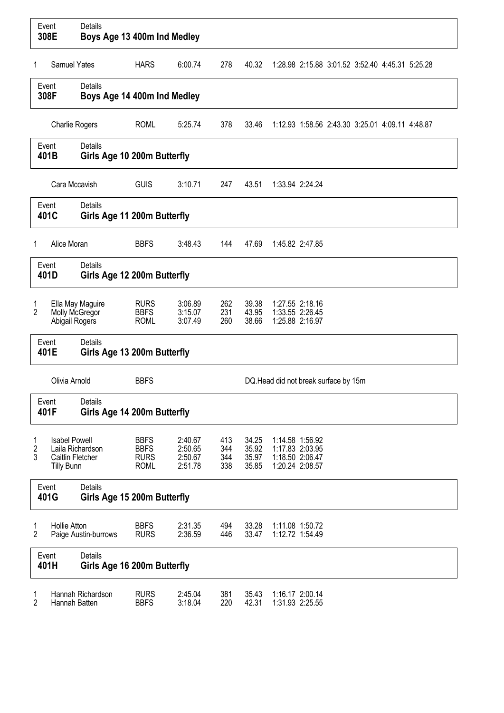|             | Event<br>308E                                                 | <b>Details</b><br>Boys Age 13 400m Ind Medley |                                                          |                                          |                          |                                  |                                                                          |
|-------------|---------------------------------------------------------------|-----------------------------------------------|----------------------------------------------------------|------------------------------------------|--------------------------|----------------------------------|--------------------------------------------------------------------------|
| 1           | <b>Samuel Yates</b>                                           |                                               | <b>HARS</b>                                              | 6:00.74                                  | 278                      | 40.32                            | 1:28.98 2:15.88 3:01.52 3:52.40 4:45.31 5:25.28                          |
|             | Event<br>308F                                                 | <b>Details</b><br>Boys Age 14 400m Ind Medley |                                                          |                                          |                          |                                  |                                                                          |
|             | <b>Charlie Rogers</b>                                         |                                               | <b>ROML</b>                                              | 5:25.74                                  | 378                      | 33.46                            | 1:12.93 1:58.56 2:43.30 3:25.01 4:09.11 4:48.87                          |
|             | <b>Details</b><br>Event<br>401B                               |                                               | Girls Age 10 200m Butterfly                              |                                          |                          |                                  |                                                                          |
|             | Cara Mccavish                                                 |                                               | <b>GUIS</b>                                              | 3:10.71                                  | 247                      | 43.51                            | 1:33.94 2:24.24                                                          |
|             | Event<br>401C                                                 | <b>Details</b><br>Girls Age 11 200m Butterfly |                                                          |                                          |                          |                                  |                                                                          |
| 1           | Alice Moran                                                   |                                               | <b>BBFS</b>                                              | 3:48.43                                  | 144                      | 47.69                            | 1:45.82 2:47.85                                                          |
|             | Event<br>401D                                                 | Details<br>Girls Age 12 200m Butterfly        |                                                          |                                          |                          |                                  |                                                                          |
| 1<br>2      | Abigail Rogers                                                | Ella May Maguire<br>Molly McGregor            | <b>RURS</b><br><b>BBFS</b><br><b>ROML</b>                | 3:06.89<br>3:15.07<br>3:07.49            | 262<br>231<br>260        | 39.38<br>43.95<br>38.66          | 1:27.55 2:18.16<br>1:33.55 2:26.45<br>1:25.88 2:16.97                    |
|             | Event<br>401E                                                 | Details<br>Girls Age 13 200m Butterfly        |                                                          |                                          |                          |                                  |                                                                          |
|             | Olivia Arnold                                                 |                                               | <b>BBFS</b>                                              |                                          |                          |                                  | DQ.Head did not break surface by 15m                                     |
|             | Event<br>401F                                                 | Details<br>Girls Age 14 200m Butterfly        |                                                          |                                          |                          |                                  |                                                                          |
| 1<br>2<br>3 | <b>Isabel Powell</b><br>Caitlin Fletcher<br><b>Tilly Bunn</b> | Laila Richardson                              | <b>BBFS</b><br><b>BBFS</b><br><b>RURS</b><br><b>ROML</b> | 2:40.67<br>2:50.65<br>2:50.67<br>2:51.78 | 413<br>344<br>344<br>338 | 34.25<br>35.92<br>35.97<br>35.85 | 1:14.58 1:56.92<br>1:17.83 2:03.95<br>1:18.50 2:06.47<br>1:20.24 2:08.57 |
|             | Event<br>401G                                                 | Details<br>Girls Age 15 200m Butterfly        |                                                          |                                          |                          |                                  |                                                                          |
| 1<br>2      | <b>Hollie Atton</b>                                           | Paige Austin-burrows                          | <b>BBFS</b><br><b>RURS</b>                               | 2:31.35<br>2:36.59                       | 494<br>446               | 33.28<br>33.47                   | 1:11.08 1:50.72<br>1:12.72 1:54.49                                       |
|             | Event<br>401H                                                 | Details<br>Girls Age 16 200m Butterfly        |                                                          |                                          |                          |                                  |                                                                          |
| 1<br>2      | Hannah Batten                                                 | Hannah Richardson                             | <b>RURS</b><br><b>BBFS</b>                               | 2:45.04<br>3:18.04                       | 381<br>220               | 35.43<br>42.31                   | 1:16.17 2:00.14<br>1:31.93 2:25.55                                       |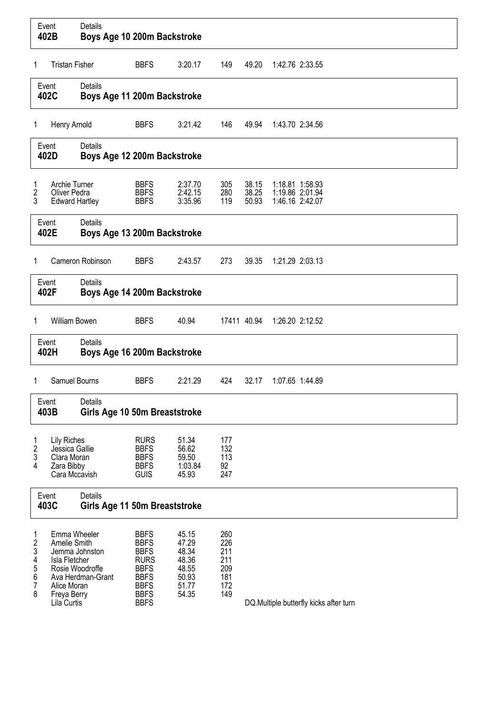|                                        | Event<br>402B                                                                                                 | <b>Details</b><br>Boys Age 10 200m Backstroke |                                                                                                                                     |                                                                      |                                                      |                         |                                                       |                                        |
|----------------------------------------|---------------------------------------------------------------------------------------------------------------|-----------------------------------------------|-------------------------------------------------------------------------------------------------------------------------------------|----------------------------------------------------------------------|------------------------------------------------------|-------------------------|-------------------------------------------------------|----------------------------------------|
| 1                                      | <b>Tristan Fisher</b>                                                                                         |                                               | <b>BBFS</b>                                                                                                                         | 3:20.17                                                              | 149                                                  | 49.20                   | 1:42.76 2:33.55                                       |                                        |
|                                        | Event<br>402C                                                                                                 | Details<br>Boys Age 11 200m Backstroke        |                                                                                                                                     |                                                                      |                                                      |                         |                                                       |                                        |
| 1                                      | Henry Arnold                                                                                                  |                                               | <b>BBFS</b>                                                                                                                         | 3:21.42                                                              | 146                                                  | 49.94                   | 1:43.70 2:34.56                                       |                                        |
|                                        | Event<br>402D                                                                                                 | <b>Details</b><br>Boys Age 12 200m Backstroke |                                                                                                                                     |                                                                      |                                                      |                         |                                                       |                                        |
| 1<br>2<br>3                            | <b>Archie Turner</b><br><b>Oliver Pedra</b><br><b>Edward Hartley</b>                                          |                                               | <b>BBFS</b><br><b>BBFS</b><br><b>BBFS</b>                                                                                           | 2:37.70<br>2:42.15<br>3:35.96                                        | 305<br>280<br>119                                    | 38.15<br>38.25<br>50.93 | 1:18.81 1:58.93<br>1:19.86 2:01.94<br>1:46.16 2:42.07 |                                        |
|                                        | Event<br>402E                                                                                                 | <b>Details</b><br>Boys Age 13 200m Backstroke |                                                                                                                                     |                                                                      |                                                      |                         |                                                       |                                        |
| 1                                      |                                                                                                               | Cameron Robinson                              | <b>BBFS</b>                                                                                                                         | 2:43.57                                                              | 273                                                  | 39.35                   | 1:21.29 2:03.13                                       |                                        |
|                                        | Event<br>402F                                                                                                 | Details<br>Boys Age 14 200m Backstroke        |                                                                                                                                     |                                                                      |                                                      |                         |                                                       |                                        |
| 1                                      | William Bowen                                                                                                 |                                               | <b>BBFS</b>                                                                                                                         | 40.94                                                                | 17411 40.94                                          |                         | 1:26.20 2:12.52                                       |                                        |
|                                        | Event<br>402H                                                                                                 | Details<br>Boys Age 16 200m Backstroke        |                                                                                                                                     |                                                                      |                                                      |                         |                                                       |                                        |
| 1                                      | Samuel Bourns                                                                                                 |                                               | <b>BBFS</b>                                                                                                                         | 2:21.29                                                              | 424                                                  | 32.17                   | 1:07.65 1:44.89                                       |                                        |
|                                        | Event<br>403B                                                                                                 | Details<br>Girls Age 10 50m Breaststroke      |                                                                                                                                     |                                                                      |                                                      |                         |                                                       |                                        |
| 1<br>$\overline{\mathbf{c}}$<br>3<br>4 | <b>Lily Riches</b><br>Jessica Gallie<br>Clara Moran<br>Zara Bibby<br>Cara Mccavish                            |                                               | <b>RURS</b><br><b>BBFS</b><br><b>BBFS</b><br><b>BBFS</b><br><b>GUIS</b>                                                             | 51.34<br>56.62<br>59.50<br>1:03.84<br>45.93                          | 177<br>132<br>113<br>92<br>247                       |                         |                                                       |                                        |
|                                        | Event<br>403C                                                                                                 | Details<br>Girls Age 11 50m Breaststroke      |                                                                                                                                     |                                                                      |                                                      |                         |                                                       |                                        |
| 1<br>2<br>3<br>4<br>5<br>6<br>7<br>8   | Emma Wheeler<br>Amelie Smith<br>Isla Fletcher<br>Rosie Woodroffe<br>Alice Moran<br>Freya Berry<br>Lila Curtis | Jemma Johnston<br>Ava Herdman-Grant           | <b>BBFS</b><br><b>BBFS</b><br><b>BBFS</b><br><b>RURS</b><br><b>BBFS</b><br><b>BBFS</b><br><b>BBFS</b><br><b>BBFS</b><br><b>BBFS</b> | 45.15<br>47.29<br>48.34<br>48.36<br>48.55<br>50.93<br>51.77<br>54.35 | 260<br>226<br>211<br>211<br>209<br>181<br>172<br>149 |                         |                                                       | DQ.Multiple butterfly kicks after turn |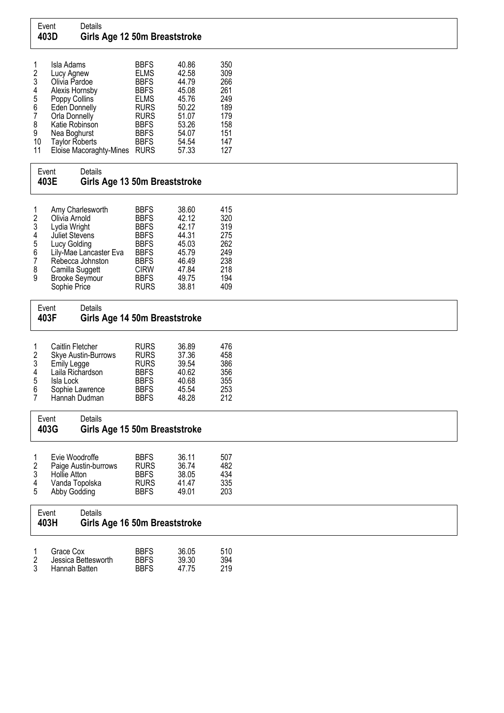## Event Details<br>403D Girls Girls Age 12 50m Breaststroke

| $\mathbf{1}$   | Isla Adams              | <b>BBFS</b> | 40.86 | 350 |
|----------------|-------------------------|-------------|-------|-----|
| $\overline{2}$ | Lucy Agnew              | <b>ELMS</b> | 42.58 | 309 |
| $\mathfrak{z}$ | Olivia Pardoe           | <b>BBFS</b> | 44.79 | 266 |
| $\overline{4}$ | Alexis Hornsby          | <b>BBFS</b> | 45.08 | 261 |
| 5              | Poppy Collins           | <b>ELMS</b> | 45.76 | 249 |
| 6              | Eden Donnelly           | <b>RURS</b> | 50.22 | 189 |
| 7              | Orla Donnelly           | <b>RURS</b> | 51.07 | 179 |
| 8              | Katie Robinson          | <b>BBFS</b> | 53.26 | 158 |
| 9              | Nea Boghurst            | <b>BBFS</b> | 54.07 | 151 |
| 10             | <b>Taylor Roberts</b>   | <b>BBFS</b> | 54.54 | 147 |
| 11             | Eloise Macoraghty-Mines | <b>RURS</b> | 57.33 | 127 |

| Event<br>403E                                                                        | Details                                                                                                                                                                                              | Girls Age 13 50m Breaststroke                                                                                                                      |                                                                                        |                                                                    |  |  |  |  |  |  |
|--------------------------------------------------------------------------------------|------------------------------------------------------------------------------------------------------------------------------------------------------------------------------------------------------|----------------------------------------------------------------------------------------------------------------------------------------------------|----------------------------------------------------------------------------------------|--------------------------------------------------------------------|--|--|--|--|--|--|
| 1<br>$\frac{2}{3}$<br>$\overline{\mathcal{A}}$<br>5<br>6<br>$\overline{7}$<br>8<br>9 | Amy Charlesworth<br>Olivia Arnold<br>Lydia Wright<br><b>Juliet Stevens</b><br>Lucy Golding<br>Lily-Mae Lancaster Eva<br>Rebecca Johnston<br>Camilla Suggett<br><b>Brooke Seymour</b><br>Sophie Price | <b>BBFS</b><br><b>BBFS</b><br><b>BBFS</b><br><b>BBFS</b><br><b>BBFS</b><br><b>BBFS</b><br><b>BBFS</b><br><b>CIRW</b><br><b>BBFS</b><br><b>RURS</b> | 38.60<br>42.12<br>42.17<br>44.31<br>45.03<br>45.79<br>46.49<br>47.84<br>49.75<br>38.81 | 415<br>320<br>319<br>275<br>262<br>249<br>238<br>218<br>194<br>409 |  |  |  |  |  |  |

| Event<br>403F |                                   | Details<br>Girls Age 14 50m Breaststroke                                                                                    |                                                                                                       |                                                             |                                               |
|---------------|-----------------------------------|-----------------------------------------------------------------------------------------------------------------------------|-------------------------------------------------------------------------------------------------------|-------------------------------------------------------------|-----------------------------------------------|
|               | $\frac{2}{3}$<br>4<br>5<br>6<br>7 | Caitlin Fletcher<br>Skye Austin-Burrows<br>Emily Legge<br>Laila Richardson<br>Isla Lock<br>Sophie Lawrence<br>Hannah Dudman | <b>RURS</b><br><b>RURS</b><br><b>RURS</b><br><b>BBFS</b><br><b>BBFS</b><br><b>BBFS</b><br><b>BBFS</b> | 36.89<br>37.36<br>39.54<br>40.62<br>40.68<br>45.54<br>48.28 | 476<br>458<br>386<br>356<br>355<br>253<br>212 |

## Event Details 403G Girls Age 15 50m Breaststroke

| 2  | Evie Woodroffe<br>Paige Austin-burrows | <b>BBFS</b><br><b>RURS</b> | 36.11<br>36.74 | 507<br>482 |
|----|----------------------------------------|----------------------------|----------------|------------|
| 3  | Hollie Atton                           | <b>BBFS</b>                | 38.05          | 434        |
| 4  | Vanda Topolska                         | <b>RURS</b>                | 41 47          | 335        |
| -5 | Abby Godding                           | <b>BBFS</b>                | 49.01          | 203        |

| Event | <b>Details</b>                |
|-------|-------------------------------|
| 403H  | Girls Age 16 50m Breaststroke |
|       |                               |

| Grace Cox           | <b>BBFS</b> | 36.05 | 510 |
|---------------------|-------------|-------|-----|
| Jessica Bettesworth | <b>BBFS</b> | 39.30 | 394 |
| Hannah Batten       | <b>BBFS</b> | 47.75 | 219 |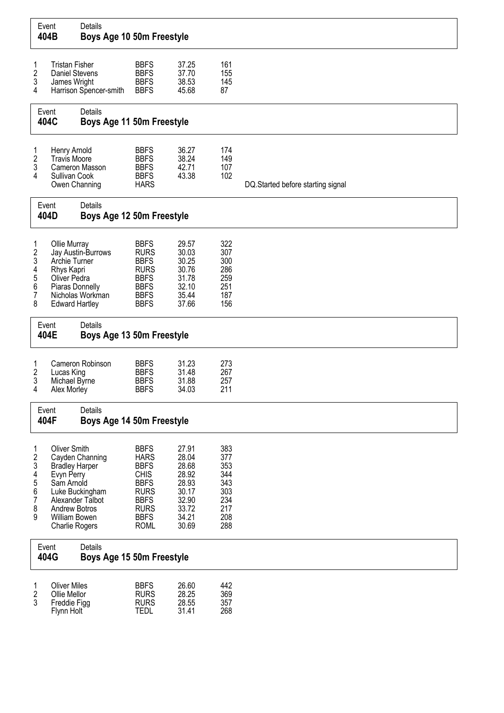| Event<br>404B                                                     |                                                                                                                                                                | Details<br>Boys Age 10 50m Freestyle   |                                                                                                                                                    |                                                                                        |                                                                    |                                   |
|-------------------------------------------------------------------|----------------------------------------------------------------------------------------------------------------------------------------------------------------|----------------------------------------|----------------------------------------------------------------------------------------------------------------------------------------------------|----------------------------------------------------------------------------------------|--------------------------------------------------------------------|-----------------------------------|
| 1<br>2<br>3<br>4                                                  | <b>Tristan Fisher</b><br>Daniel Stevens<br>James Wright                                                                                                        | Harrison Spencer-smith                 | <b>BBFS</b><br><b>BBFS</b><br><b>BBFS</b><br><b>BBFS</b>                                                                                           | 37.25<br>37.70<br>38.53<br>45.68                                                       | 161<br>155<br>145<br>87                                            |                                   |
| Event<br>404C                                                     |                                                                                                                                                                | Details<br>Boys Age 11 50m Freestyle   |                                                                                                                                                    |                                                                                        |                                                                    |                                   |
| 1<br>2<br>3<br>4                                                  | Henry Arnold<br><b>Travis Moore</b><br>Sullivan Cook<br>Owen Channing                                                                                          | Cameron Masson                         | <b>BBFS</b><br><b>BBFS</b><br><b>BBFS</b><br><b>BBFS</b><br><b>HARS</b>                                                                            | 36.27<br>38.24<br>42.71<br>43.38                                                       | 174<br>149<br>107<br>102                                           | DQ.Started before starting signal |
| Event<br>404D                                                     |                                                                                                                                                                | Details<br>Boys Age 12 50m Freestyle   |                                                                                                                                                    |                                                                                        |                                                                    |                                   |
| 1<br>$\overline{\mathbf{c}}$<br>3<br>4<br>5<br>6<br>7<br>8        | Ollie Murray<br>Archie Turner<br>Rhys Kapri<br>Oliver Pedra<br>Piaras Donnelly<br><b>Edward Hartley</b>                                                        | Jay Austin-Burrows<br>Nicholas Workman | <b>BBFS</b><br><b>RURS</b><br><b>BBFS</b><br><b>RURS</b><br><b>BBFS</b><br><b>BBFS</b><br><b>BBFS</b><br><b>BBFS</b>                               | 29.57<br>30.03<br>30.25<br>30.76<br>31.78<br>32.10<br>35.44<br>37.66                   | 322<br>307<br>300<br>286<br>259<br>251<br>187<br>156               |                                   |
| Event<br>404E                                                     |                                                                                                                                                                | Details<br>Boys Age 13 50m Freestyle   |                                                                                                                                                    |                                                                                        |                                                                    |                                   |
| 1<br>2<br>3<br>4                                                  | Lucas King<br>Michael Byrne<br>Alex Morley                                                                                                                     | Cameron Robinson                       | <b>BBFS</b><br><b>BBFS</b><br><b>BBFS</b><br><b>BBFS</b>                                                                                           | 31.23<br>31.48<br>31.88<br>34.03                                                       | 273<br>267<br>257<br>211                                           |                                   |
| Event<br>404F                                                     |                                                                                                                                                                | Details<br>Boys Age 14 50m Freestyle   |                                                                                                                                                    |                                                                                        |                                                                    |                                   |
| $\mathbf{1}$<br>2<br>3<br>4<br>5<br>6<br>$\overline{7}$<br>8<br>9 | <b>Oliver Smith</b><br><b>Bradley Harper</b><br>Evyn Perry<br>Sam Arnold<br>Alexander Talbot<br><b>Andrew Botros</b><br>William Bowen<br><b>Charlie Rogers</b> | Cayden Channing<br>Luke Buckingham     | <b>BBFS</b><br><b>HARS</b><br><b>BBFS</b><br><b>CHIS</b><br><b>BBFS</b><br><b>RURS</b><br><b>BBFS</b><br><b>RURS</b><br><b>BBFS</b><br><b>ROML</b> | 27.91<br>28.04<br>28.68<br>28.92<br>28.93<br>30.17<br>32.90<br>33.72<br>34.21<br>30.69 | 383<br>377<br>353<br>344<br>343<br>303<br>234<br>217<br>208<br>288 |                                   |
| Event<br>404G                                                     |                                                                                                                                                                | Details<br>Boys Age 15 50m Freestyle   |                                                                                                                                                    |                                                                                        |                                                                    |                                   |
| 1<br>$\boldsymbol{2}$<br>3                                        | <b>Oliver Miles</b><br>Ollie Mellor<br>Freddie Figg<br>Flynn Holt                                                                                              |                                        | <b>BBFS</b><br><b>RURS</b><br><b>RURS</b><br><b>TEDL</b>                                                                                           | 26.60<br>28.25<br>28.55<br>31.41                                                       | 442<br>369<br>357<br>268                                           |                                   |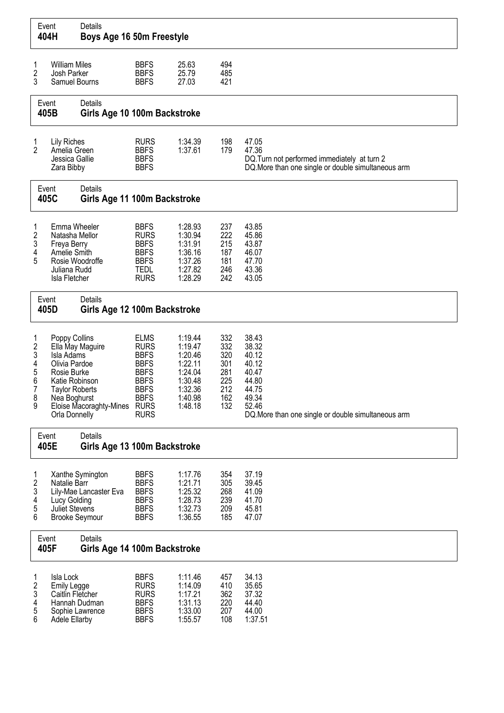| Event                                                                        | 404H                                                                                                                                    | Details<br>Boys Age 16 50m Freestyle             |                                                                                                                                     |                                                                                                 |                                                             |                                                                                                                                      |
|------------------------------------------------------------------------------|-----------------------------------------------------------------------------------------------------------------------------------------|--------------------------------------------------|-------------------------------------------------------------------------------------------------------------------------------------|-------------------------------------------------------------------------------------------------|-------------------------------------------------------------|--------------------------------------------------------------------------------------------------------------------------------------|
| 1<br>$\overline{c}$<br>3                                                     | <b>William Miles</b><br>Josh Parker<br>Samuel Bourns                                                                                    |                                                  | <b>BBFS</b><br><b>BBFS</b><br><b>BBFS</b>                                                                                           | 25.63<br>25.79<br>27.03                                                                         | 494<br>485<br>421                                           |                                                                                                                                      |
| Event                                                                        | 405B                                                                                                                                    | Details<br>Girls Age 10 100m Backstroke          |                                                                                                                                     |                                                                                                 |                                                             |                                                                                                                                      |
| $\begin{array}{c} 1 \\ 2 \end{array}$                                        | <b>Lily Riches</b><br>Amelia Green<br>Jessica Gallie<br>Zara Bibby                                                                      |                                                  | <b>RURS</b><br><b>BBFS</b><br><b>BBFS</b><br><b>BBFS</b>                                                                            | 1:34.39<br>1:37.61                                                                              | 198<br>179                                                  | 47.05<br>47.36<br>DQ. Turn not performed immediately at turn 2<br>DQ. More than one single or double simultaneous arm                |
| Event                                                                        | 405C                                                                                                                                    | Details<br>Girls Age 11 100m Backstroke          |                                                                                                                                     |                                                                                                 |                                                             |                                                                                                                                      |
| 1<br>$\overline{\mathbf{c}}$<br>$\mathfrak z$<br>4<br>5                      | Emma Wheeler<br>Natasha Mellor<br>Freya Berry<br>Amelie Smith<br>Rosie Woodroffe<br>Juliana Rudd<br>Isla Fletcher                       |                                                  | <b>BBFS</b><br><b>RURS</b><br><b>BBFS</b><br><b>BBFS</b><br><b>BBFS</b><br><b>TEDL</b><br><b>RURS</b>                               | 1:28.93<br>1:30.94<br>1:31.91<br>1:36.16<br>1:37.26<br>1:27.82<br>1:28.29                       | 237<br>222<br>215<br>187<br>181<br>246<br>242               | 43.85<br>45.86<br>43.87<br>46.07<br>47.70<br>43.36<br>43.05                                                                          |
| Event                                                                        | 405D                                                                                                                                    | Details<br>Girls Age 12 100m Backstroke          |                                                                                                                                     |                                                                                                 |                                                             |                                                                                                                                      |
| 1<br>$\overline{\mathbf{c}}$<br>3<br>4<br>5<br>6<br>$\overline{7}$<br>8<br>9 | Poppy Collins<br>Isla Adams<br>Olivia Pardoe<br>Rosie Burke<br>Katie Robinson<br><b>Taylor Roberts</b><br>Nea Boghurst<br>Orla Donnelly | Ella May Maguire<br>Eloise Macoraghty-Mines RURS | <b>ELMS</b><br><b>RURS</b><br><b>BBFS</b><br><b>BBFS</b><br><b>BBFS</b><br><b>BBFS</b><br><b>BBFS</b><br><b>BBFS</b><br><b>RURS</b> | 1:19.44<br>1:19.47<br>1:20.46<br>1:22.11<br>1:24.04<br>1:30.48<br>1:32.36<br>1:40.98<br>1:48.18 | 332<br>332<br>320<br>301<br>281<br>225<br>212<br>162<br>132 | 38.43<br>38.32<br>40.12<br>40.12<br>40.47<br>44.80<br>44.75<br>49.34<br>52.46<br>DQ. More than one single or double simultaneous arm |
| Event                                                                        | 405E                                                                                                                                    | Details<br>Girls Age 13 100m Backstroke          |                                                                                                                                     |                                                                                                 |                                                             |                                                                                                                                      |
| 1<br>$\boldsymbol{2}$<br>3<br>4<br>5<br>6                                    | Natalie Barr<br>Lucy Golding<br>Juliet Stevens<br><b>Brooke Seymour</b>                                                                 | Xanthe Symington<br>Lily-Mae Lancaster Eva       | <b>BBFS</b><br><b>BBFS</b><br><b>BBFS</b><br><b>BBFS</b><br><b>BBFS</b><br><b>BBFS</b>                                              | 1:17.76<br>1:21.71<br>1:25.32<br>1:28.73<br>1:32.73<br>1:36.55                                  | 354<br>305<br>268<br>239<br>209<br>185                      | 37.19<br>39.45<br>41.09<br>41.70<br>45.81<br>47.07                                                                                   |
| Event                                                                        | 405F                                                                                                                                    | Details<br>Girls Age 14 100m Backstroke          |                                                                                                                                     |                                                                                                 |                                                             |                                                                                                                                      |
| 1<br>$\overline{\mathbf{c}}$<br>3<br>4<br>5<br>6                             | Isla Lock<br><b>Emily Legge</b><br>Caitlin Fletcher<br>Adele Ellarby                                                                    | Hannah Dudman<br>Sophie Lawrence                 | <b>BBFS</b><br><b>RURS</b><br><b>RURS</b><br><b>BBFS</b><br><b>BBFS</b><br><b>BBFS</b>                                              | 1:11.46<br>1:14.09<br>1:17.21<br>1:31.13<br>1:33.00<br>1:55.57                                  | 457<br>410<br>362<br>220<br>207<br>108                      | 34.13<br>35.65<br>37.32<br>44.40<br>44.00<br>1:37.51                                                                                 |

 $\Gamma$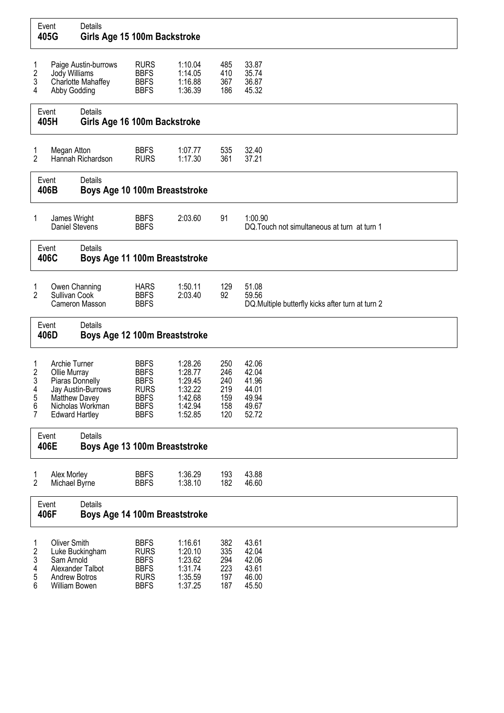|                                                       | Event<br>405G                                                                              | Details<br>Girls Age 15 100m Backstroke           |                                                                                                       |                                                                           |                                               |                                                                     |
|-------------------------------------------------------|--------------------------------------------------------------------------------------------|---------------------------------------------------|-------------------------------------------------------------------------------------------------------|---------------------------------------------------------------------------|-----------------------------------------------|---------------------------------------------------------------------|
| 1<br>$\overline{\mathbf{c}}$<br>3<br>4                | Jody Williams<br>Abby Godding                                                              | Paige Austin-burrows<br><b>Charlotte Mahaffey</b> | <b>RURS</b><br><b>BBFS</b><br><b>BBFS</b><br><b>BBFS</b>                                              | 1:10.04<br>1:14.05<br>1:16.88<br>1:36.39                                  | 485<br>410<br>367<br>186                      | 33.87<br>35.74<br>36.87<br>45.32                                    |
|                                                       | Event<br>405H                                                                              | Details<br>Girls Age 16 100m Backstroke           |                                                                                                       |                                                                           |                                               |                                                                     |
| 1<br>$\overline{2}$                                   | Megan Atton                                                                                | Hannah Richardson                                 | <b>BBFS</b><br><b>RURS</b>                                                                            | 1:07.77<br>1:17.30                                                        | 535<br>361                                    | 32.40<br>37.21                                                      |
|                                                       | Event<br>406B                                                                              | Details<br>Boys Age 10 100m Breaststroke          |                                                                                                       |                                                                           |                                               |                                                                     |
| 1                                                     | James Wright<br>Daniel Stevens                                                             |                                                   | <b>BBFS</b><br><b>BBFS</b>                                                                            | 2:03.60                                                                   | 91                                            | 1:00.90<br>DQ. Touch not simultaneous at turn at turn 1             |
|                                                       | Event<br>406C                                                                              | Details<br>Boys Age 11 100m Breaststroke          |                                                                                                       |                                                                           |                                               |                                                                     |
| 1<br>$\overline{2}$                                   | Owen Channing<br>Sullivan Cook                                                             | Cameron Masson                                    | <b>HARS</b><br><b>BBFS</b><br><b>BBFS</b>                                                             | 1:50.11<br>2:03.40                                                        | 129<br>92                                     | 51.08<br>59.56<br>DQ. Multiple butterfly kicks after turn at turn 2 |
|                                                       | Event<br>406D                                                                              | Details<br>Boys Age 12 100m Breaststroke          |                                                                                                       |                                                                           |                                               |                                                                     |
| 1<br>$\overline{\mathbf{c}}$<br>3<br>4<br>5<br>6<br>7 | Archie Turner<br>Ollie Murray<br>Piaras Donnelly<br>Matthew Davey<br><b>Edward Hartley</b> | Jay Austin-Burrows<br>Nicholas Workman            | <b>BBFS</b><br><b>BBFS</b><br><b>BBFS</b><br><b>RURS</b><br><b>BBFS</b><br><b>BBFS</b><br><b>BBFS</b> | 1:28.26<br>1:28.77<br>1:29.45<br>1:32.22<br>1:42.68<br>1:42.94<br>1:52.85 | 250<br>246<br>240<br>219<br>159<br>158<br>120 | 42.06<br>42.04<br>41.96<br>44.01<br>49.94<br>49.67<br>52.72         |
|                                                       | Event<br>406E                                                                              | <b>Details</b><br>Boys Age 13 100m Breaststroke   |                                                                                                       |                                                                           |                                               |                                                                     |
| 1<br>$\overline{2}$                                   | Alex Morley<br>Michael Byrne                                                               |                                                   | <b>BBFS</b><br><b>BBFS</b>                                                                            | 1:36.29<br>1:38.10                                                        | 193<br>182                                    | 43.88<br>46.60                                                      |
|                                                       | Event<br>406F                                                                              | Details<br>Boys Age 14 100m Breaststroke          |                                                                                                       |                                                                           |                                               |                                                                     |
| 1<br>$\overline{\mathbf{c}}$<br>3<br>4<br>5<br>6      | <b>Oliver Smith</b><br>Sam Arnold<br><b>Andrew Botros</b><br>William Bowen                 | Luke Buckingham<br>Alexander Talbot               | <b>BBFS</b><br><b>RURS</b><br><b>BBFS</b><br><b>BBFS</b><br><b>RURS</b><br><b>BBFS</b>                | 1:16.61<br>1:20.10<br>1:23.62<br>1:31.74<br>1:35.59<br>1:37.25            | 382<br>335<br>294<br>223<br>197<br>187        | 43.61<br>42.04<br>42.06<br>43.61<br>46.00<br>45.50                  |

 $\Gamma$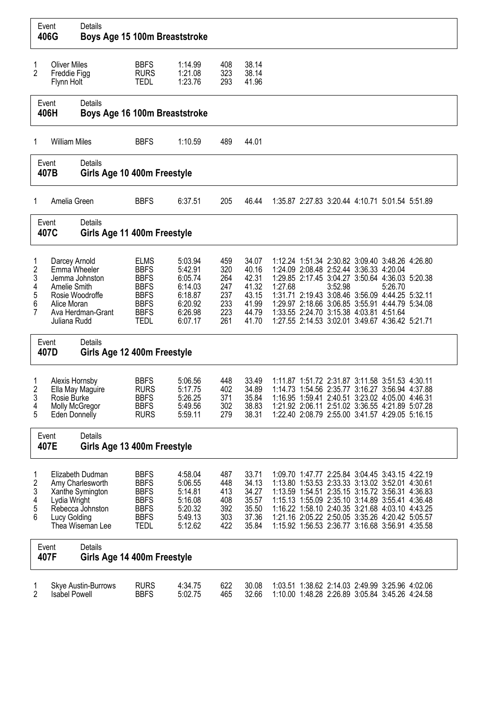|                                              | Event<br>406G                                                | Details<br>Boys Age 15 100m Breaststroke                                                         |                                                                                                                      |                                                                                      |                                                      |                                                                      |         |         |                                                                                                                                                                                                                                                                                                                                                                   |         |  |
|----------------------------------------------|--------------------------------------------------------------|--------------------------------------------------------------------------------------------------|----------------------------------------------------------------------------------------------------------------------|--------------------------------------------------------------------------------------|------------------------------------------------------|----------------------------------------------------------------------|---------|---------|-------------------------------------------------------------------------------------------------------------------------------------------------------------------------------------------------------------------------------------------------------------------------------------------------------------------------------------------------------------------|---------|--|
| 1<br>2                                       | <b>Oliver Miles</b><br>Freddie Figg<br>Flynn Holt            |                                                                                                  | <b>BBFS</b><br><b>RURS</b><br><b>TEDL</b>                                                                            | 1:14.99<br>1:21.08<br>1:23.76                                                        | 408<br>323<br>293                                    | 38.14<br>38.14<br>41.96                                              |         |         |                                                                                                                                                                                                                                                                                                                                                                   |         |  |
|                                              | Event<br>406H                                                | Details<br>Boys Age 16 100m Breaststroke                                                         |                                                                                                                      |                                                                                      |                                                      |                                                                      |         |         |                                                                                                                                                                                                                                                                                                                                                                   |         |  |
| 1                                            | <b>William Miles</b>                                         |                                                                                                  | <b>BBFS</b>                                                                                                          | 1:10.59                                                                              | 489                                                  | 44.01                                                                |         |         |                                                                                                                                                                                                                                                                                                                                                                   |         |  |
|                                              | Event<br>407B                                                | Details<br>Girls Age 10 400m Freestyle                                                           |                                                                                                                      |                                                                                      |                                                      |                                                                      |         |         |                                                                                                                                                                                                                                                                                                                                                                   |         |  |
| 1                                            | Amelia Green                                                 |                                                                                                  | <b>BBFS</b>                                                                                                          | 6:37.51                                                                              | 205                                                  | 46.44                                                                |         |         | 1:35.87 2:27.83 3:20.44 4:10.71 5:01.54 5:51.89                                                                                                                                                                                                                                                                                                                   |         |  |
|                                              | Event<br>407C                                                | Details<br>Girls Age 11 400m Freestyle                                                           |                                                                                                                      |                                                                                      |                                                      |                                                                      |         |         |                                                                                                                                                                                                                                                                                                                                                                   |         |  |
| 1<br>$\overline{2}$<br>3<br>4<br>5<br>6<br>7 | Darcey Arnold<br>Amelie Smith<br>Alice Moran<br>Juliana Rudd | Emma Wheeler<br>Jemma Johnston<br>Rosie Woodroffe<br>Ava Herdman-Grant                           | <b>ELMS</b><br><b>BBFS</b><br><b>BBFS</b><br><b>BBFS</b><br><b>BBFS</b><br><b>BBFS</b><br><b>BBFS</b><br><b>TEDL</b> | 5:03.94<br>5:42.91<br>6:05.74<br>6:14.03<br>6:18.87<br>6:20.92<br>6:26.98<br>6:07.17 | 459<br>320<br>264<br>247<br>237<br>233<br>223<br>261 | 34.07<br>40.16<br>42.31<br>41.32<br>43.15<br>41.99<br>44.79<br>41.70 | 1:27.68 | 3:52.98 | 1:12.24 1:51.34 2:30.82 3:09.40 3:48.26 4:26.80<br>1:24.09 2:08.48 2:52.44 3:36.33 4:20.04<br>1:29.85 2:17.45 3:04.27 3:50.64 4:36.03 5:20.38<br>1:31.71 2:19.43 3:08.46 3:56.09 4:44.25 5:32.11<br>1:29.97 2:18.66 3:06.85 3:55.91 4:44.79 5:34.08<br>1:33.55 2:24.70 3:15.38 4:03.81 4:51.64<br>1:27.55 2:14.53 3:02.01 3:49.67 4:36.42 5:21.71                 | 5:26.70 |  |
|                                              | Event<br>407D                                                | Details<br>Girls Age 12 400m Freestyle                                                           |                                                                                                                      |                                                                                      |                                                      |                                                                      |         |         |                                                                                                                                                                                                                                                                                                                                                                   |         |  |
| 2<br>3<br>4<br>5                             | Alexis Hornsby<br>Rosie Burke<br>Eden Donnelly               | Ella May Maguire<br>Molly McGregor                                                               | <b>BBFS</b><br><b>RURS</b><br><b>BBFS</b><br><b>BBFS</b><br><b>RURS</b>                                              | 5:06.56<br>5:17.75<br>5:26.25<br>5:49.56<br>5:59.11                                  | 448<br>402<br>371<br>302<br>279                      | 33.49<br>34.89<br>35.84<br>38.83<br>38.31                            |         |         | 1:11.87 1:51.72 2:31.87 3:11.58 3:51.53 4:30.11<br>1:14.73 1:54.56 2:35.77 3:16.27 3:56.94 4:37.88<br>1:16.95 1:59.41 2:40.51 3:23.02 4:05.00 4:46.31<br>1:21.92 2:06.11 2:51.02 3:36.55 4:21.89 5:07.28<br>1:22.40 2:08.79 2:55.00 3:41.57 4:29.05 5:16.15                                                                                                       |         |  |
|                                              | Event<br>407E                                                | <b>Details</b><br>Girls Age 13 400m Freestyle                                                    |                                                                                                                      |                                                                                      |                                                      |                                                                      |         |         |                                                                                                                                                                                                                                                                                                                                                                   |         |  |
| 1<br>2<br>3<br>4<br>5<br>6                   | Lydia Wright<br>Lucy Golding                                 | Elizabeth Dudman<br>Amy Charlesworth<br>Xanthe Symington<br>Rebecca Johnston<br>Thea Wiseman Lee | <b>BBFS</b><br><b>BBFS</b><br><b>BBFS</b><br><b>BBFS</b><br><b>BBFS</b><br><b>BBFS</b><br><b>TEDL</b>                | 4:58.04<br>5:06.55<br>5:14.81<br>5:16.08<br>5:20.32<br>5:49.13<br>5:12.62            | 487<br>448<br>413<br>408<br>392<br>303<br>422        | 33.71<br>34.13<br>34.27<br>35.57<br>35.50<br>37.36<br>35.84          |         |         | 1:09.70 1:47.77 2:25.84 3:04.45 3:43.15 4:22.19<br>1:13.80 1:53.53 2:33.33 3:13.02 3:52.01 4:30.61<br>1:13.59 1:54.51 2:35.15 3:15.72 3:56.31 4:36.83<br>1:15.13 1:55.09 2:35.10 3:14.89 3:55.41 4:36.48<br>1:16.22 1:58.10 2:40.35 3:21.68 4:03.10 4:43.25<br>1:21.16 2:05.22 2:50.05 3:35.26 4:20.42 5:05.57<br>1:15.92 1:56.53 2:36.77 3:16.68 3:56.91 4:35.58 |         |  |
|                                              | Event<br>407F                                                | Details<br>Girls Age 14 400m Freestyle                                                           |                                                                                                                      |                                                                                      |                                                      |                                                                      |         |         |                                                                                                                                                                                                                                                                                                                                                                   |         |  |
| 1<br>2                                       | <b>Isabel Powell</b>                                         | Skye Austin-Burrows                                                                              | <b>RURS</b><br><b>BBFS</b>                                                                                           | 4:34.75<br>5:02.75                                                                   | 622<br>465                                           | 30.08<br>32.66                                                       |         |         | 1:03.51 1:38.62 2:14.03 2:49.99 3:25.96 4:02.06<br>1:10.00 1:48.28 2:26.89 3:05.84 3:45.26 4:24.58                                                                                                                                                                                                                                                                |         |  |